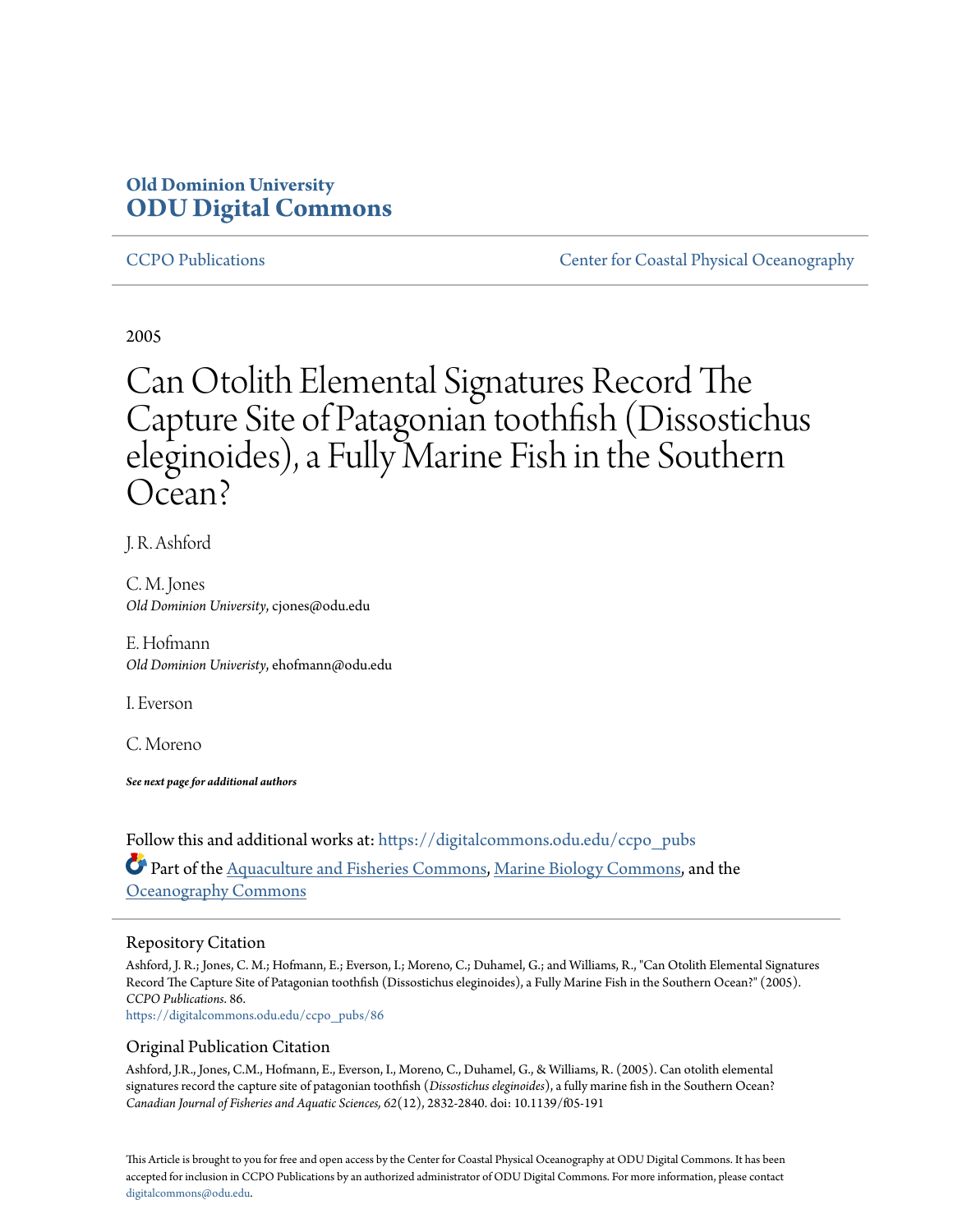### **Old Dominion University [ODU Digital Commons](https://digitalcommons.odu.edu?utm_source=digitalcommons.odu.edu%2Fccpo_pubs%2F86&utm_medium=PDF&utm_campaign=PDFCoverPages)**

[CCPO Publications](https://digitalcommons.odu.edu/ccpo_pubs?utm_source=digitalcommons.odu.edu%2Fccpo_pubs%2F86&utm_medium=PDF&utm_campaign=PDFCoverPages) [Center for Coastal Physical Oceanography](https://digitalcommons.odu.edu/ccpo?utm_source=digitalcommons.odu.edu%2Fccpo_pubs%2F86&utm_medium=PDF&utm_campaign=PDFCoverPages)

2005

# Can Otolith Elemental Signatures Record The Capture Site of Patagonian toothfish (Dissostichus eleginoides), a Fully Marine Fish in the Southern Ocean?

J. R. Ashford

C. M. Jones *Old Dominion University*, cjones@odu.edu

E. Hofmann *Old Dominion Univeristy*, ehofmann@odu.edu

I. Everson

C. Moreno

*See next page for additional authors*

Follow this and additional works at: [https://digitalcommons.odu.edu/ccpo\\_pubs](https://digitalcommons.odu.edu/ccpo_pubs?utm_source=digitalcommons.odu.edu%2Fccpo_pubs%2F86&utm_medium=PDF&utm_campaign=PDFCoverPages) Part of the [Aquaculture and Fisheries Commons,](http://network.bepress.com/hgg/discipline/78?utm_source=digitalcommons.odu.edu%2Fccpo_pubs%2F86&utm_medium=PDF&utm_campaign=PDFCoverPages) [Marine Biology Commons,](http://network.bepress.com/hgg/discipline/1126?utm_source=digitalcommons.odu.edu%2Fccpo_pubs%2F86&utm_medium=PDF&utm_campaign=PDFCoverPages) and the **[Oceanography Commons](http://network.bepress.com/hgg/discipline/191?utm_source=digitalcommons.odu.edu%2Fccpo_pubs%2F86&utm_medium=PDF&utm_campaign=PDFCoverPages)** 

### Repository Citation

Ashford, J. R.; Jones, C. M.; Hofmann, E.; Everson, I.; Moreno, C.; Duhamel, G.; and Williams, R., "Can Otolith Elemental Signatures Record The Capture Site of Patagonian toothfish (Dissostichus eleginoides), a Fully Marine Fish in the Southern Ocean?" (2005). *CCPO Publications*. 86.

[https://digitalcommons.odu.edu/ccpo\\_pubs/86](https://digitalcommons.odu.edu/ccpo_pubs/86?utm_source=digitalcommons.odu.edu%2Fccpo_pubs%2F86&utm_medium=PDF&utm_campaign=PDFCoverPages)

#### Original Publication Citation

Ashford, J.R., Jones, C.M., Hofmann, E., Everson, I., Moreno, C., Duhamel, G., & Williams, R. (2005). Can otolith elemental signatures record the capture site of patagonian toothfish (*Dissostichus eleginoides*), a fully marine fish in the Southern Ocean? *Canadian Journal of Fisheries and Aquatic Sciences, 62*(12), 2832-2840. doi: 10.1139/f05-191

This Article is brought to you for free and open access by the Center for Coastal Physical Oceanography at ODU Digital Commons. It has been accepted for inclusion in CCPO Publications by an authorized administrator of ODU Digital Commons. For more information, please contact [digitalcommons@odu.edu.](mailto:digitalcommons@odu.edu)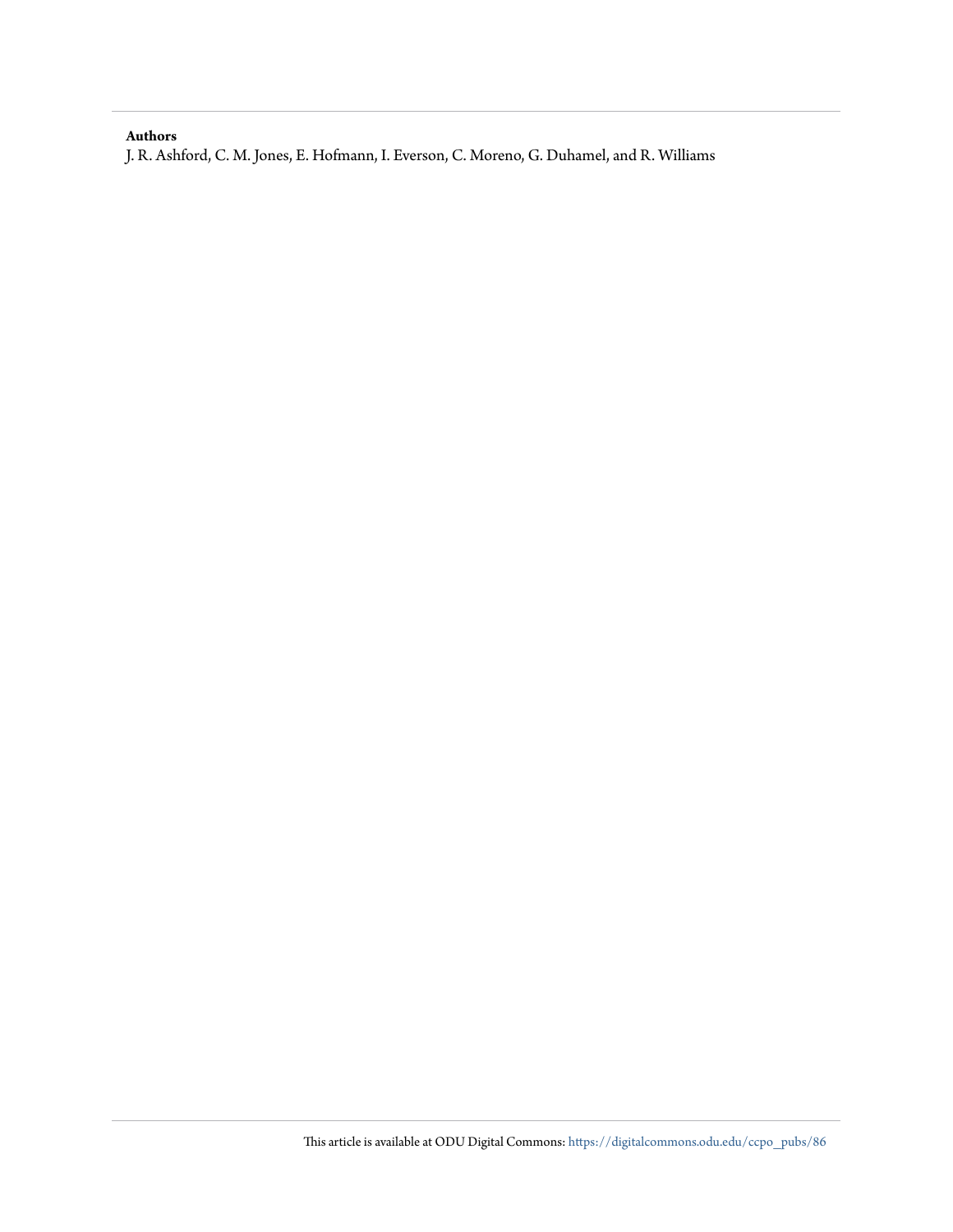#### **Authors**

J. R. Ashford, C. M. Jones, E. Hofmann, I. Everson, C. Moreno, G. Duhamel, and R. Williams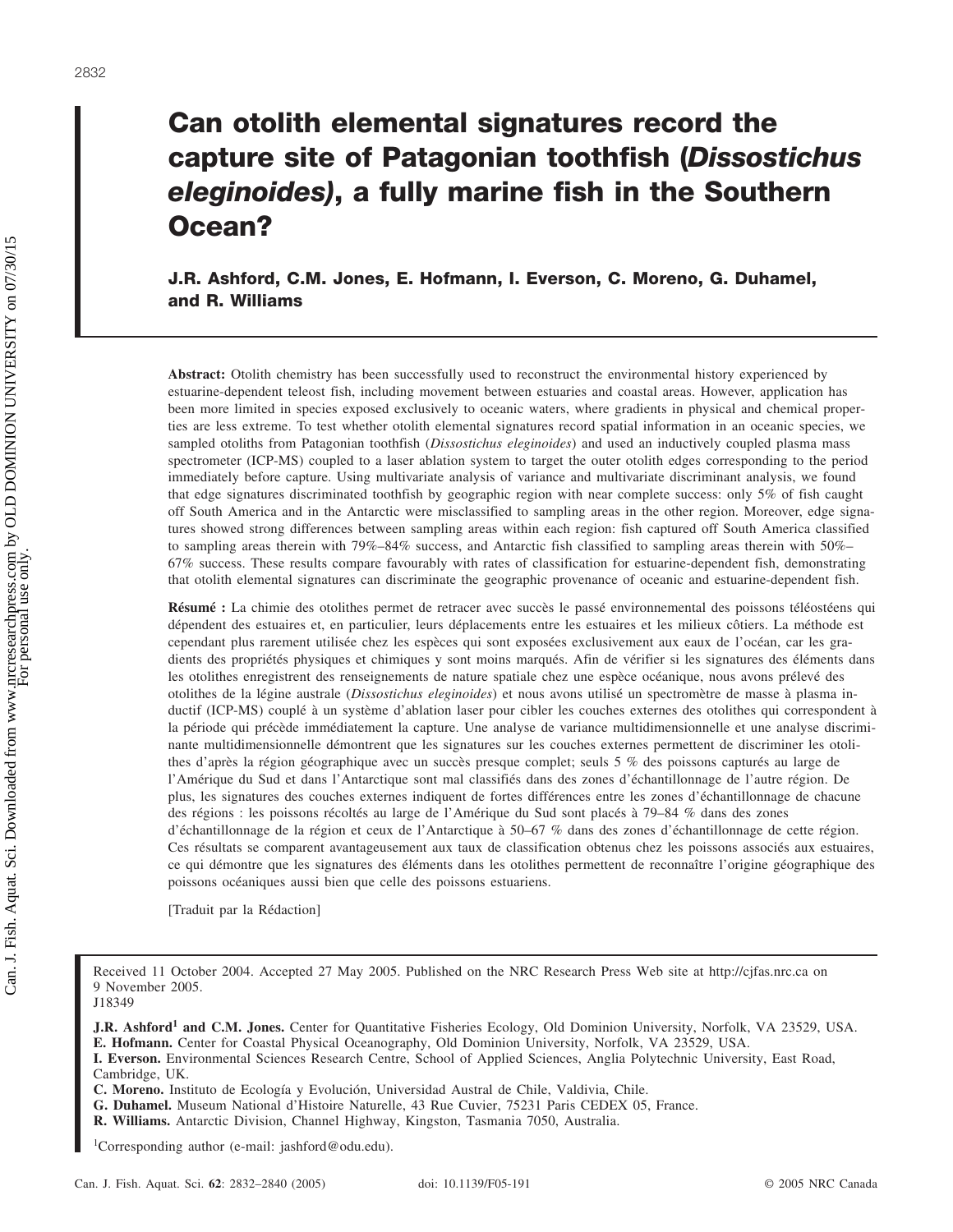## **Can otolith elemental signatures record the capture site of Patagonian toothfish (***Dissostichus eleginoides)***, a fully marine fish in the Southern Ocean?**

**J.R. Ashford, C.M. Jones, E. Hofmann, I. Everson, C. Moreno, G. Duhamel, and R. Williams**

**Abstract:** Otolith chemistry has been successfully used to reconstruct the environmental history experienced by estuarine-dependent teleost fish, including movement between estuaries and coastal areas. However, application has been more limited in species exposed exclusively to oceanic waters, where gradients in physical and chemical properties are less extreme. To test whether otolith elemental signatures record spatial information in an oceanic species, we sampled otoliths from Patagonian toothfish (*Dissostichus eleginoides*) and used an inductively coupled plasma mass spectrometer (ICP-MS) coupled to a laser ablation system to target the outer otolith edges corresponding to the period immediately before capture. Using multivariate analysis of variance and multivariate discriminant analysis, we found that edge signatures discriminated toothfish by geographic region with near complete success: only 5% of fish caught off South America and in the Antarctic were misclassified to sampling areas in the other region. Moreover, edge signatures showed strong differences between sampling areas within each region: fish captured off South America classified to sampling areas therein with 79%–84% success, and Antarctic fish classified to sampling areas therein with 50%– 67% success. These results compare favourably with rates of classification for estuarine-dependent fish, demonstrating that otolith elemental signatures can discriminate the geographic provenance of oceanic and estuarine-dependent fish.

**Résumé :** La chimie des otolithes permet de retracer avec succès le passé environnemental des poissons téléostéens qui dépendent des estuaires et, en particulier, leurs déplacements entre les estuaires et les milieux côtiers. La méthode est cependant plus rarement utilisée chez les espèces qui sont exposées exclusivement aux eaux de l'océan, car les gradients des propriétés physiques et chimiques y sont moins marqués. Afin de vérifier si les signatures des éléments dans les otolithes enregistrent des renseignements de nature spatiale chez une espèce océanique, nous avons prélevé des otolithes de la légine australe (*Dissostichus eleginoides*) et nous avons utilisé un spectromètre de masse à plasma inductif (ICP-MS) couplé à un système d'ablation laser pour cibler les couches externes des otolithes qui correspondent à la période qui précède immédiatement la capture. Une analyse de variance multidimensionnelle et une analyse discriminante multidimensionnelle démontrent que les signatures sur les couches externes permettent de discriminer les otolithes d'après la région géographique avec un succès presque complet; seuls 5 % des poissons capturés au large de l'Amérique du Sud et dans l'Antarctique sont mal classifiés dans des zones d'échantillonnage de l'autre région. De plus, les signatures des couches externes indiquent de fortes différences entre les zones d'échantillonnage de chacune des régions : les poissons récoltés au large de l'Amérique du Sud sont placés à 79–84 % dans des zones d'échantillonnage de la région et ceux de l'Antarctique à 50–67 % dans des zones d'échantillonnage de cette région. Ces résultats se comparent avantageusement aux taux de classification obtenus chez les poissons associés aux estuaires, ce qui démontre que les signatures des éléments dans les otolithes permettent de reconnaître l'origine géographique des poissons océaniques aussi bien que celle des poissons estuariens.

[Traduit par la Rédaction]

Received 11 October 2004. Accepted 27 May 2005. Published on the NRC Research Press Web site at http://cjfas.nrc.ca on 9 November 2005.

**J.R. Ashford<sup>1</sup> and C.M. Jones.** Center for Quantitative Fisheries Ecology, Old Dominion University, Norfolk, VA 23529, USA. **E. Hofmann.** Center for Coastal Physical Oceanography, Old Dominion University, Norfolk, VA 23529, USA.

- **G. Duhamel.** Museum National d'Histoire Naturelle, 43 Rue Cuvier, 75231 Paris CEDEX 05, France.
- **R. Williams.** Antarctic Division, Channel Highway, Kingston, Tasmania 7050, Australia.

1 Corresponding author (e-mail: jashford@odu.edu).

J18349

**I. Everson.** Environmental Sciences Research Centre, School of Applied Sciences, Anglia Polytechnic University, East Road, Cambridge, UK.

**C. Moreno.** Instituto de Ecología y Evolución, Universidad Austral de Chile, Valdivia, Chile.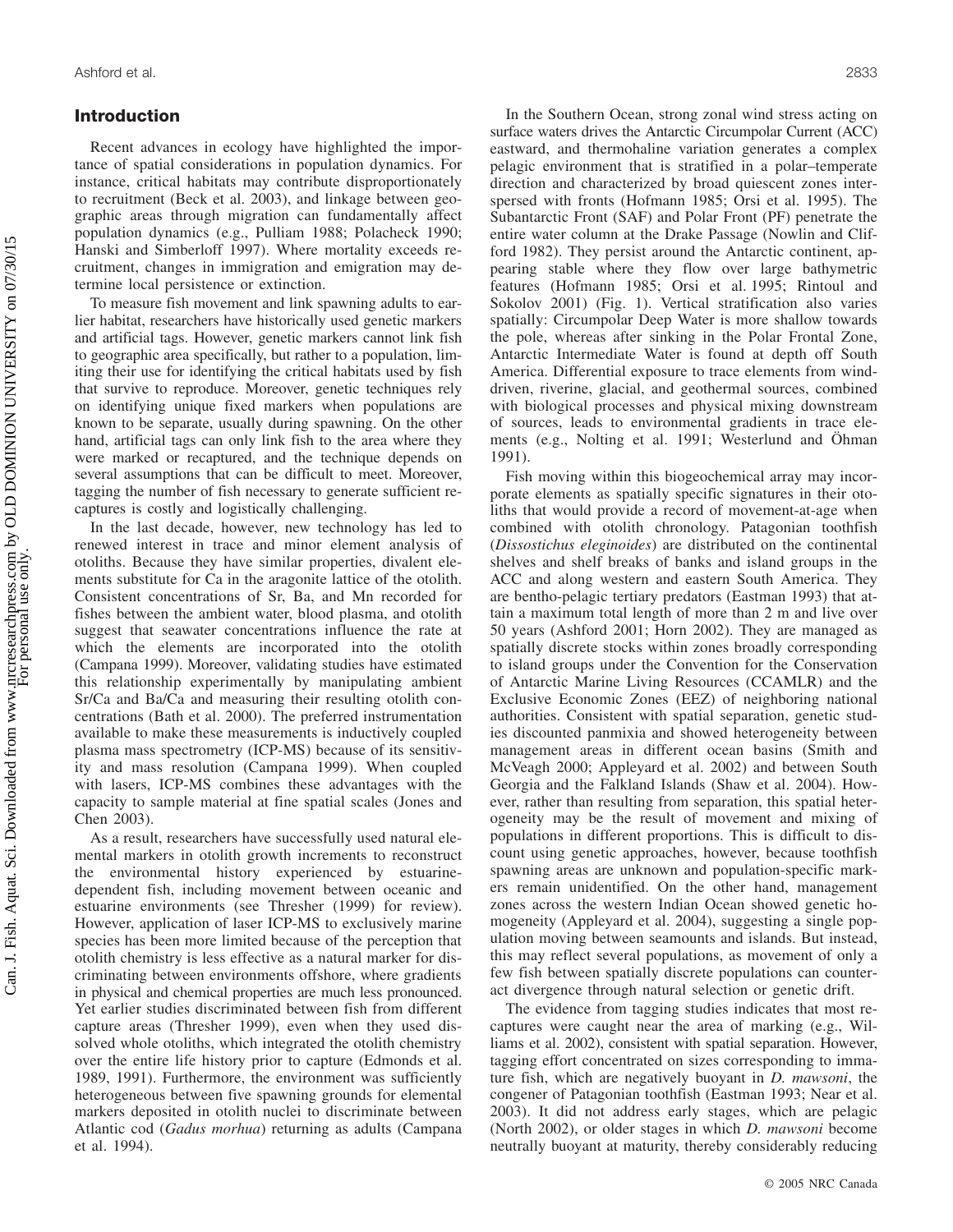#### **Introduction**

Recent advances in ecology have highlighted the importance of spatial considerations in population dynamics. For instance, critical habitats may contribute disproportionately to recruitment (Beck et al. 2003), and linkage between geographic areas through migration can fundamentally affect population dynamics (e.g., Pulliam 1988; Polacheck 1990; Hanski and Simberloff 1997). Where mortality exceeds recruitment, changes in immigration and emigration may determine local persistence or extinction.

To measure fish movement and link spawning adults to earlier habitat, researchers have historically used genetic markers and artificial tags. However, genetic markers cannot link fish to geographic area specifically, but rather to a population, limiting their use for identifying the critical habitats used by fish that survive to reproduce. Moreover, genetic techniques rely on identifying unique fixed markers when populations are known to be separate, usually during spawning. On the other hand, artificial tags can only link fish to the area where they were marked or recaptured, and the technique depends on several assumptions that can be difficult to meet. Moreover, tagging the number of fish necessary to generate sufficient recaptures is costly and logistically challenging.

In the last decade, however, new technology has led to renewed interest in trace and minor element analysis of otoliths. Because they have similar properties, divalent elements substitute for Ca in the aragonite lattice of the otolith. Consistent concentrations of Sr, Ba, and Mn recorded for fishes between the ambient water, blood plasma, and otolith suggest that seawater concentrations influence the rate at which the elements are incorporated into the otolith (Campana 1999). Moreover, validating studies have estimated this relationship experimentally by manipulating ambient Sr/Ca and Ba/Ca and measuring their resulting otolith concentrations (Bath et al. 2000). The preferred instrumentation available to make these measurements is inductively coupled plasma mass spectrometry (ICP-MS) because of its sensitivity and mass resolution (Campana 1999). When coupled with lasers, ICP-MS combines these advantages with the capacity to sample material at fine spatial scales (Jones and Chen 2003).

As a result, researchers have successfully used natural elemental markers in otolith growth increments to reconstruct the environmental history experienced by estuarinedependent fish, including movement between oceanic and estuarine environments (see Thresher (1999) for review). However, application of laser ICP-MS to exclusively marine species has been more limited because of the perception that otolith chemistry is less effective as a natural marker for discriminating between environments offshore, where gradients in physical and chemical properties are much less pronounced. Yet earlier studies discriminated between fish from different capture areas (Thresher 1999), even when they used dissolved whole otoliths, which integrated the otolith chemistry over the entire life history prior to capture (Edmonds et al. 1989, 1991). Furthermore, the environment was sufficiently heterogeneous between five spawning grounds for elemental markers deposited in otolith nuclei to discriminate between Atlantic cod (*Gadus morhua*) returning as adults (Campana et al. 1994).

In the Southern Ocean, strong zonal wind stress acting on surface waters drives the Antarctic Circumpolar Current (ACC) eastward, and thermohaline variation generates a complex pelagic environment that is stratified in a polar–temperate direction and characterized by broad quiescent zones interspersed with fronts (Hofmann 1985; Orsi et al. 1995). The Subantarctic Front (SAF) and Polar Front (PF) penetrate the entire water column at the Drake Passage (Nowlin and Clifford 1982). They persist around the Antarctic continent, appearing stable where they flow over large bathymetric features (Hofmann 1985; Orsi et al. 1995; Rintoul and Sokolov 2001) (Fig. 1). Vertical stratification also varies spatially: Circumpolar Deep Water is more shallow towards the pole, whereas after sinking in the Polar Frontal Zone, Antarctic Intermediate Water is found at depth off South America. Differential exposure to trace elements from winddriven, riverine, glacial, and geothermal sources, combined with biological processes and physical mixing downstream of sources, leads to environmental gradients in trace elements (e.g., Nolting et al. 1991; Westerlund and Öhman 1991).

Fish moving within this biogeochemical array may incorporate elements as spatially specific signatures in their otoliths that would provide a record of movement-at-age when combined with otolith chronology. Patagonian toothfish (*Dissostichus eleginoides*) are distributed on the continental shelves and shelf breaks of banks and island groups in the ACC and along western and eastern South America. They are bentho-pelagic tertiary predators (Eastman 1993) that attain a maximum total length of more than 2 m and live over 50 years (Ashford 2001; Horn 2002). They are managed as spatially discrete stocks within zones broadly corresponding to island groups under the Convention for the Conservation of Antarctic Marine Living Resources (CCAMLR) and the Exclusive Economic Zones (EEZ) of neighboring national authorities. Consistent with spatial separation, genetic studies discounted panmixia and showed heterogeneity between management areas in different ocean basins (Smith and McVeagh 2000; Appleyard et al. 2002) and between South Georgia and the Falkland Islands (Shaw et al. 2004). However, rather than resulting from separation, this spatial heterogeneity may be the result of movement and mixing of populations in different proportions. This is difficult to discount using genetic approaches, however, because toothfish spawning areas are unknown and population-specific markers remain unidentified. On the other hand, management zones across the western Indian Ocean showed genetic homogeneity (Appleyard et al. 2004), suggesting a single population moving between seamounts and islands. But instead, this may reflect several populations, as movement of only a few fish between spatially discrete populations can counteract divergence through natural selection or genetic drift.

The evidence from tagging studies indicates that most recaptures were caught near the area of marking (e.g., Williams et al. 2002), consistent with spatial separation. However, tagging effort concentrated on sizes corresponding to immature fish, which are negatively buoyant in *D. mawsoni*, the congener of Patagonian toothfish (Eastman 1993; Near et al. 2003). It did not address early stages, which are pelagic (North 2002), or older stages in which *D. mawsoni* become neutrally buoyant at maturity, thereby considerably reducing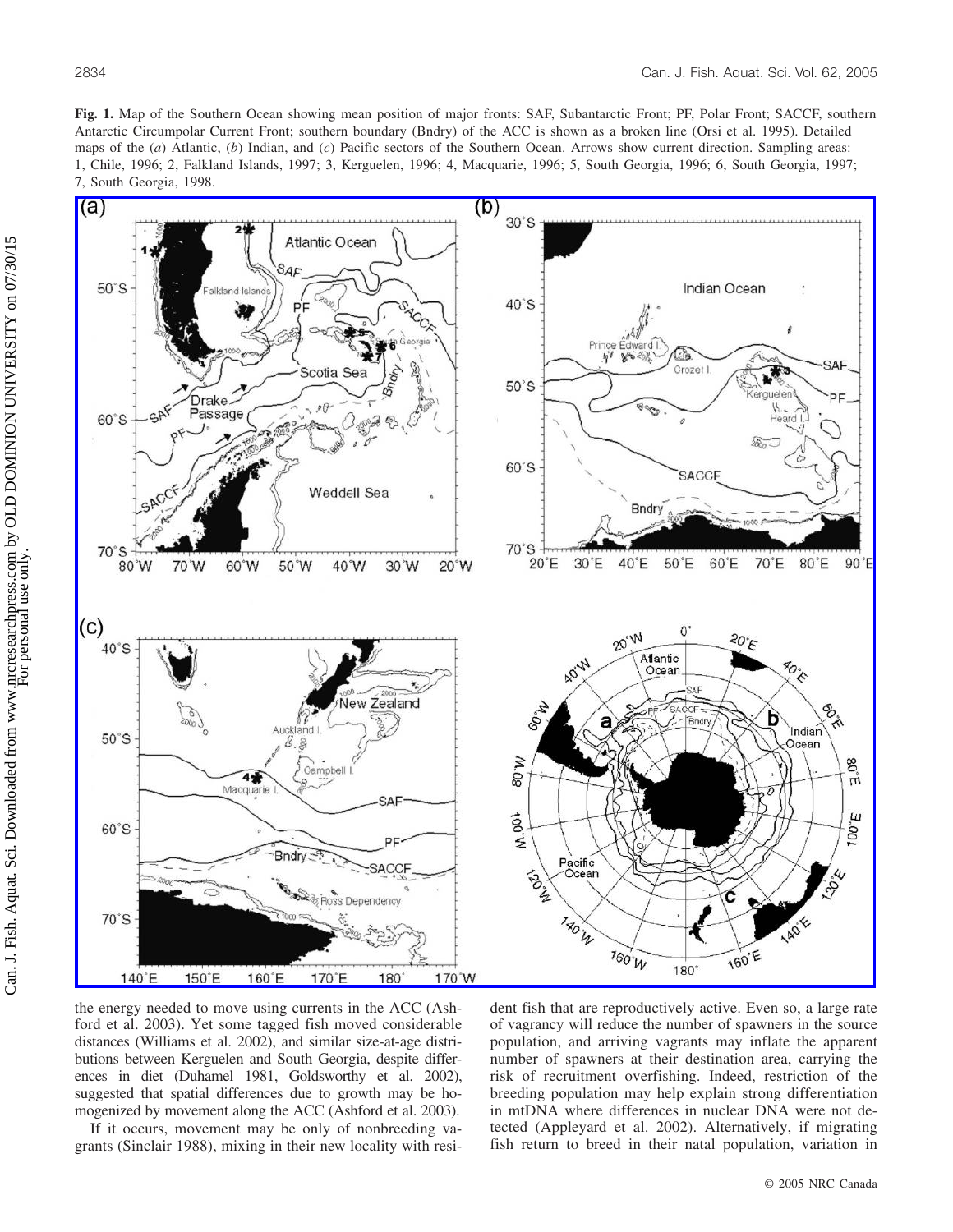**Fig. 1.** Map of the Southern Ocean showing mean position of major fronts: SAF, Subantarctic Front; PF, Polar Front; SACCF, southern Antarctic Circumpolar Current Front; southern boundary (Bndry) of the ACC is shown as a broken line (Orsi et al. 1995). Detailed maps of the (*a*) Atlantic, (*b*) Indian, and (*c*) Pacific sectors of the Southern Ocean. Arrows show current direction. Sampling areas: 1, Chile, 1996; 2, Falkland Islands, 1997; 3, Kerguelen, 1996; 4, Macquarie, 1996; 5, South Georgia, 1996; 6, South Georgia, 1997; 7, South Georgia, 1998.



the energy needed to move using currents in the ACC (Ashford et al. 2003). Yet some tagged fish moved considerable distances (Williams et al. 2002), and similar size-at-age distributions between Kerguelen and South Georgia, despite differences in diet (Duhamel 1981, Goldsworthy et al. 2002), suggested that spatial differences due to growth may be homogenized by movement along the ACC (Ashford et al. 2003).

If it occurs, movement may be only of nonbreeding vagrants (Sinclair 1988), mixing in their new locality with resident fish that are reproductively active. Even so, a large rate of vagrancy will reduce the number of spawners in the source population, and arriving vagrants may inflate the apparent number of spawners at their destination area, carrying the risk of recruitment overfishing. Indeed, restriction of the breeding population may help explain strong differentiation in mtDNA where differences in nuclear DNA were not detected (Appleyard et al. 2002). Alternatively, if migrating fish return to breed in their natal population, variation in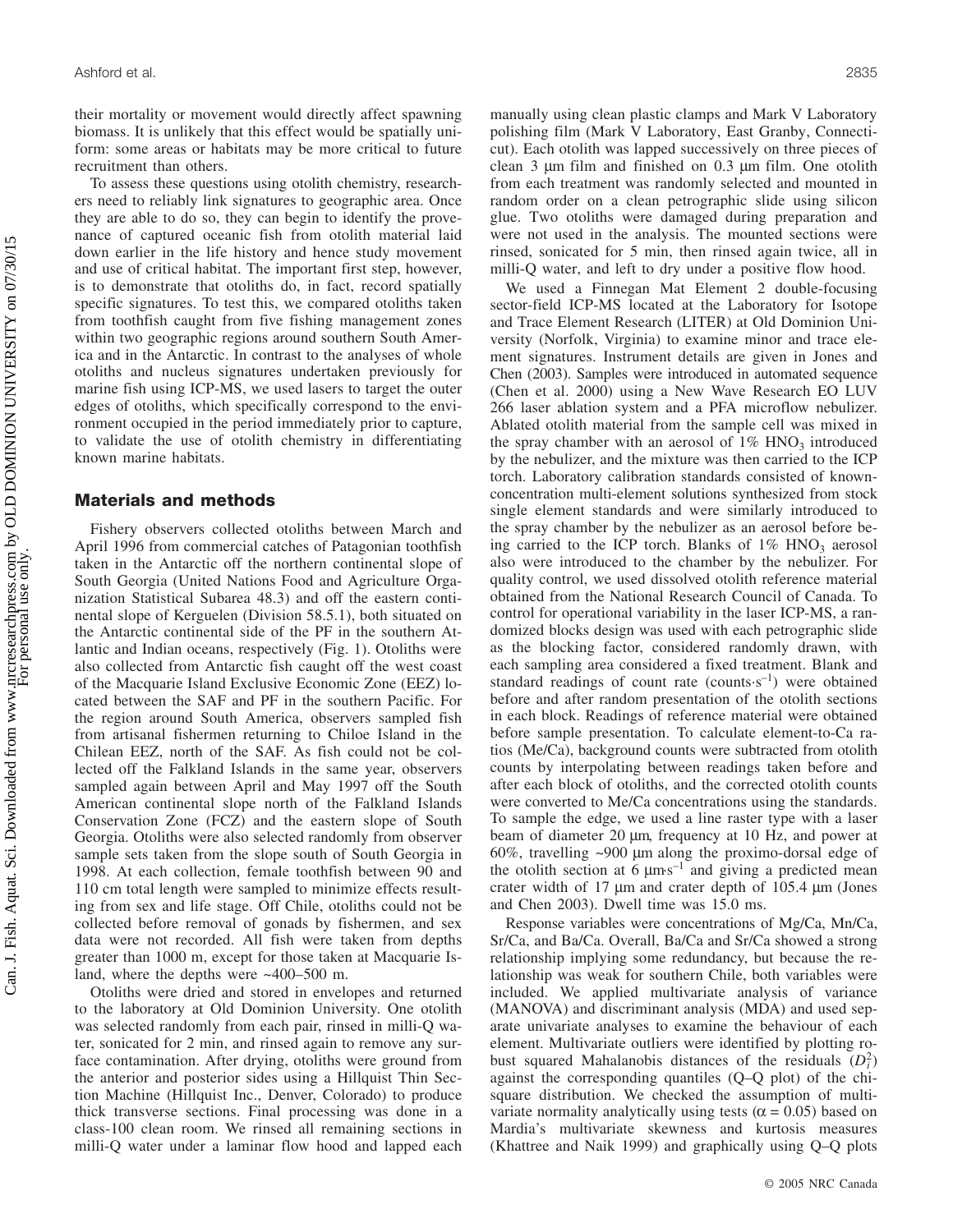their mortality or movement would directly affect spawning biomass. It is unlikely that this effect would be spatially uniform: some areas or habitats may be more critical to future recruitment than others.

To assess these questions using otolith chemistry, researchers need to reliably link signatures to geographic area. Once they are able to do so, they can begin to identify the provenance of captured oceanic fish from otolith material laid down earlier in the life history and hence study movement and use of critical habitat. The important first step, however, is to demonstrate that otoliths do, in fact, record spatially specific signatures. To test this, we compared otoliths taken from toothfish caught from five fishing management zones within two geographic regions around southern South America and in the Antarctic. In contrast to the analyses of whole otoliths and nucleus signatures undertaken previously for marine fish using ICP-MS, we used lasers to target the outer edges of otoliths, which specifically correspond to the environment occupied in the period immediately prior to capture, to validate the use of otolith chemistry in differentiating known marine habitats.

#### **Materials and methods**

Fishery observers collected otoliths between March and April 1996 from commercial catches of Patagonian toothfish taken in the Antarctic off the northern continental slope of South Georgia (United Nations Food and Agriculture Organization Statistical Subarea 48.3) and off the eastern continental slope of Kerguelen (Division 58.5.1), both situated on the Antarctic continental side of the PF in the southern Atlantic and Indian oceans, respectively (Fig. 1). Otoliths were also collected from Antarctic fish caught off the west coast of the Macquarie Island Exclusive Economic Zone (EEZ) located between the SAF and PF in the southern Pacific. For the region around South America, observers sampled fish from artisanal fishermen returning to Chiloe Island in the Chilean EEZ, north of the SAF. As fish could not be collected off the Falkland Islands in the same year, observers sampled again between April and May 1997 off the South American continental slope north of the Falkland Islands Conservation Zone (FCZ) and the eastern slope of South Georgia. Otoliths were also selected randomly from observer sample sets taken from the slope south of South Georgia in 1998. At each collection, female toothfish between 90 and 110 cm total length were sampled to minimize effects resulting from sex and life stage. Off Chile, otoliths could not be collected before removal of gonads by fishermen, and sex data were not recorded. All fish were taken from depths greater than 1000 m, except for those taken at Macquarie Island, where the depths were ~400–500 m.

Otoliths were dried and stored in envelopes and returned to the laboratory at Old Dominion University. One otolith was selected randomly from each pair, rinsed in milli-Q water, sonicated for 2 min, and rinsed again to remove any surface contamination. After drying, otoliths were ground from the anterior and posterior sides using a Hillquist Thin Section Machine (Hillquist Inc., Denver, Colorado) to produce thick transverse sections. Final processing was done in a class-100 clean room. We rinsed all remaining sections in milli-Q water under a laminar flow hood and lapped each manually using clean plastic clamps and Mark V Laboratory polishing film (Mark V Laboratory, East Granby, Connecticut). Each otolith was lapped successively on three pieces of clean 3 µm film and finished on 0.3 µm film. One otolith from each treatment was randomly selected and mounted in random order on a clean petrographic slide using silicon glue. Two otoliths were damaged during preparation and were not used in the analysis. The mounted sections were rinsed, sonicated for 5 min, then rinsed again twice, all in milli-Q water, and left to dry under a positive flow hood.

We used a Finnegan Mat Element 2 double-focusing sector-field ICP-MS located at the Laboratory for Isotope and Trace Element Research (LITER) at Old Dominion University (Norfolk, Virginia) to examine minor and trace element signatures. Instrument details are given in Jones and Chen (2003). Samples were introduced in automated sequence (Chen et al. 2000) using a New Wave Research EO LUV 266 laser ablation system and a PFA microflow nebulizer. Ablated otolith material from the sample cell was mixed in the spray chamber with an aerosol of  $1\%$  HNO<sub>3</sub> introduced by the nebulizer, and the mixture was then carried to the ICP torch. Laboratory calibration standards consisted of knownconcentration multi-element solutions synthesized from stock single element standards and were similarly introduced to the spray chamber by the nebulizer as an aerosol before being carried to the ICP torch. Blanks of  $1\%$  HNO<sub>3</sub> aerosol also were introduced to the chamber by the nebulizer. For quality control, we used dissolved otolith reference material obtained from the National Research Council of Canada. To control for operational variability in the laser ICP-MS, a randomized blocks design was used with each petrographic slide as the blocking factor, considered randomly drawn, with each sampling area considered a fixed treatment. Blank and standard readings of count rate (counts $s^{-1}$ ) were obtained before and after random presentation of the otolith sections in each block. Readings of reference material were obtained before sample presentation. To calculate element-to-Ca ratios (Me/Ca), background counts were subtracted from otolith counts by interpolating between readings taken before and after each block of otoliths, and the corrected otolith counts were converted to Me/Ca concentrations using the standards. To sample the edge, we used a line raster type with a laser beam of diameter 20  $\mu$ m, frequency at 10 Hz, and power at 60%, travelling ~900 µm along the proximo-dorsal edge of the otolith section at 6  $\mu$ m·s<sup>-1</sup> and giving a predicted mean crater width of 17 µm and crater depth of 105.4 µm (Jones and Chen 2003). Dwell time was 15.0 ms.

Response variables were concentrations of Mg/Ca, Mn/Ca, Sr/Ca, and Ba/Ca. Overall, Ba/Ca and Sr/Ca showed a strong relationship implying some redundancy, but because the relationship was weak for southern Chile, both variables were included. We applied multivariate analysis of variance (MANOVA) and discriminant analysis (MDA) and used separate univariate analyses to examine the behaviour of each element. Multivariate outliers were identified by plotting robust squared Mahalanobis distances of the residuals  $(D_i^2)$ against the corresponding quantiles (Q–Q plot) of the chisquare distribution. We checked the assumption of multivariate normality analytically using tests ( $\alpha$  = 0.05) based on Mardia's multivariate skewness and kurtosis measures (Khattree and Naik 1999) and graphically using Q–Q plots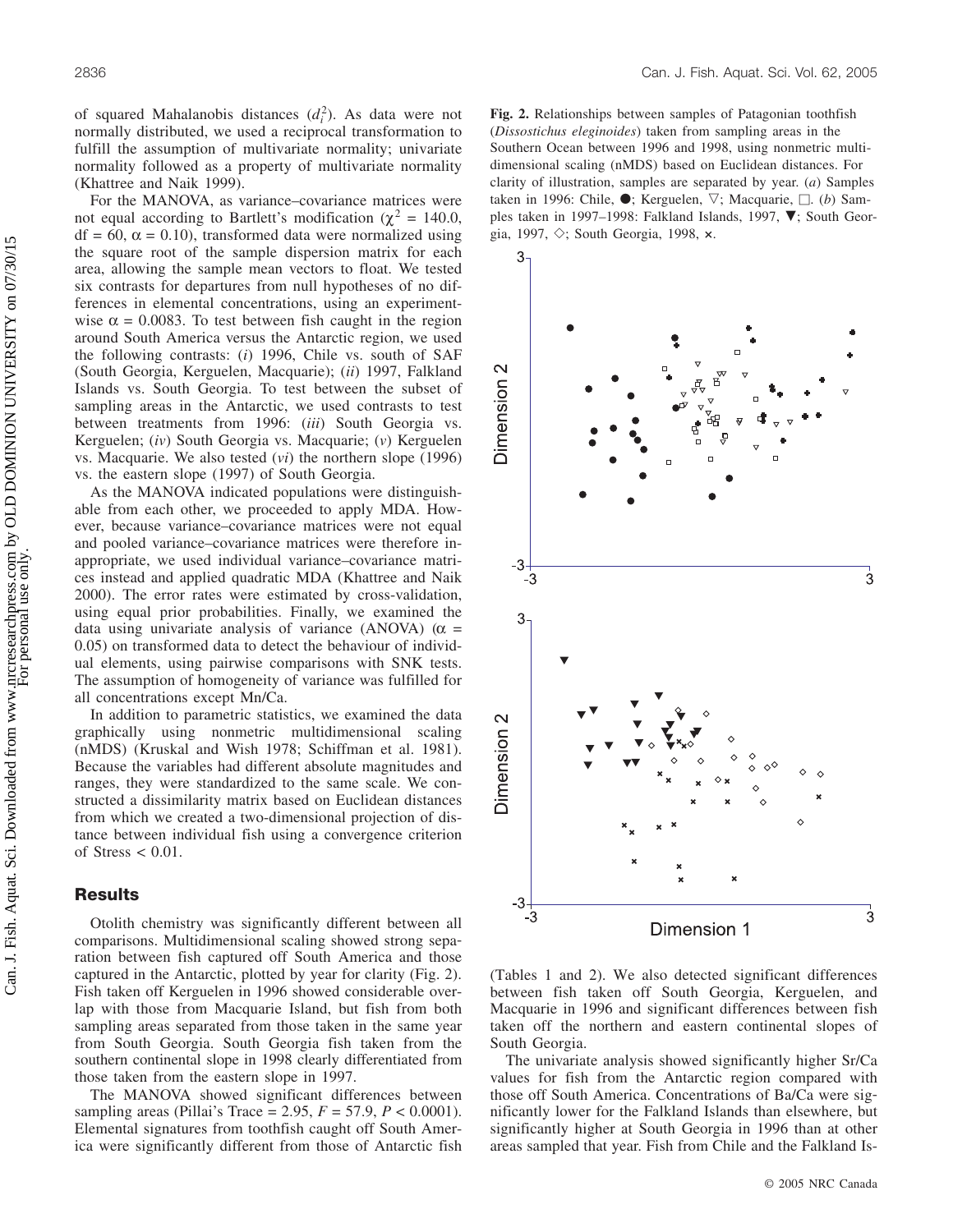of squared Mahalanobis distances (*di* 2). As data were not normally distributed, we used a reciprocal transformation to fulfill the assumption of multivariate normality; univariate normality followed as a property of multivariate normality (Khattree and Naik 1999).

For the MANOVA, as variance–covariance matrices were not equal according to Bartlett's modification ( $\chi^2 = 140.0$ ,  $df = 60$ ,  $\alpha = 0.10$ ), transformed data were normalized using the square root of the sample dispersion matrix for each area, allowing the sample mean vectors to float. We tested six contrasts for departures from null hypotheses of no differences in elemental concentrations, using an experimentwise  $\alpha = 0.0083$ . To test between fish caught in the region around South America versus the Antarctic region, we used the following contrasts: (*i*) 1996, Chile vs. south of SAF (South Georgia, Kerguelen, Macquarie); (*ii*) 1997, Falkland Islands vs. South Georgia. To test between the subset of sampling areas in the Antarctic, we used contrasts to test between treatments from 1996: (*iii*) South Georgia vs. Kerguelen; (*iv*) South Georgia vs. Macquarie; (*v*) Kerguelen vs. Macquarie. We also tested (*vi*) the northern slope (1996) vs. the eastern slope (1997) of South Georgia.

As the MANOVA indicated populations were distinguishable from each other, we proceeded to apply MDA. However, because variance–covariance matrices were not equal and pooled variance–covariance matrices were therefore inappropriate, we used individual variance–covariance matrices instead and applied quadratic MDA (Khattree and Naik 2000). The error rates were estimated by cross-validation, using equal prior probabilities. Finally, we examined the data using univariate analysis of variance (ANOVA) ( $\alpha$  = 0.05) on transformed data to detect the behaviour of individual elements, using pairwise comparisons with SNK tests. The assumption of homogeneity of variance was fulfilled for all concentrations except Mn/Ca.

In addition to parametric statistics, we examined the data graphically using nonmetric multidimensional scaling (nMDS) (Kruskal and Wish 1978; Schiffman et al. 1981). Because the variables had different absolute magnitudes and ranges, they were standardized to the same scale. We constructed a dissimilarity matrix based on Euclidean distances from which we created a two-dimensional projection of distance between individual fish using a convergence criterion of Stress  $< 0.01$ .

#### **Results**

Otolith chemistry was significantly different between all comparisons. Multidimensional scaling showed strong separation between fish captured off South America and those captured in the Antarctic, plotted by year for clarity (Fig. 2). Fish taken off Kerguelen in 1996 showed considerable overlap with those from Macquarie Island, but fish from both sampling areas separated from those taken in the same year from South Georgia. South Georgia fish taken from the southern continental slope in 1998 clearly differentiated from those taken from the eastern slope in 1997.

The MANOVA showed significant differences between sampling areas (Pillai's Trace = 2.95, *F* = 57.9, *P* < 0.0001). Elemental signatures from toothfish caught off South America were significantly different from those of Antarctic fish **Fig. 2.** Relationships between samples of Patagonian toothfish (*Dissostichus eleginoides*) taken from sampling areas in the Southern Ocean between 1996 and 1998, using nonmetric multidimensional scaling (nMDS) based on Euclidean distances. For clarity of illustration, samples are separated by year. (*a*) Samples taken in 1996: Chile, ●; Kerguelen, ▽; Macquarie, □. (b) Samples taken in 1997–1998: Falkland Islands, 1997,  $\nabla$ ; South Georgia, 1997, ; South Georgia, 1998, **×**.



(Tables 1 and 2). We also detected significant differences between fish taken off South Georgia, Kerguelen, and Macquarie in 1996 and significant differences between fish taken off the northern and eastern continental slopes of South Georgia.

The univariate analysis showed significantly higher Sr/Ca values for fish from the Antarctic region compared with those off South America. Concentrations of Ba/Ca were significantly lower for the Falkland Islands than elsewhere, but significantly higher at South Georgia in 1996 than at other areas sampled that year. Fish from Chile and the Falkland Is-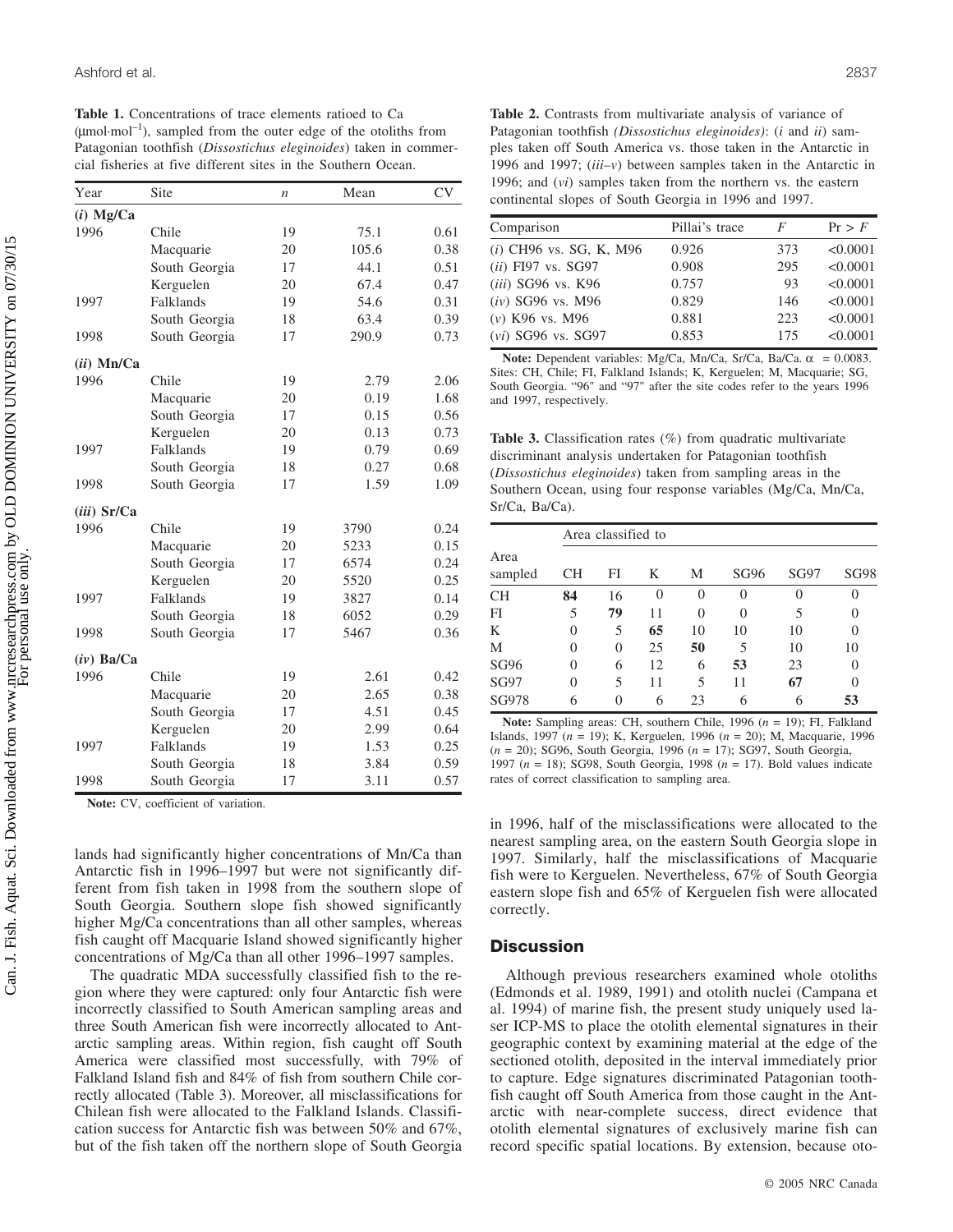**Table 1.** Concentrations of trace elements ratioed to Ca  $(u_{\text{mol}}\text{-}\mathrm{mol}^{-1})$ , sampled from the outer edge of the otoliths from Patagonian toothfish (*Dissostichus eleginoides*) taken in commercial fisheries at five different sites in the Southern Ocean.

| Year          | Site          | $\boldsymbol{n}$ | Mean  | <b>CV</b> |  |
|---------------|---------------|------------------|-------|-----------|--|
| $(i)$ Mg/Ca   |               |                  |       |           |  |
| 1996          | Chile         | 19               | 75.1  | 0.61      |  |
|               | Macquarie     | 20               | 105.6 | 0.38      |  |
|               | South Georgia | 17               | 44.1  | 0.51      |  |
|               | Kerguelen     | 20               | 67.4  | 0.47      |  |
| 1997          | Falklands     | 19               | 54.6  | 0.31      |  |
|               | South Georgia | 18               | 63.4  | 0.39      |  |
| 1998          | South Georgia | 17               | 290.9 | 0.73      |  |
| $(ii)$ Mn/Ca  |               |                  |       |           |  |
| 1996          | Chile         | 19               | 2.79  | 2.06      |  |
|               | Macquarie     | 20               | 0.19  | 1.68      |  |
|               | South Georgia | 17               | 0.15  | 0.56      |  |
|               | Kerguelen     | 20               | 0.13  | 0.73      |  |
| 1997          | Falklands     | 19               | 0.79  | 0.69      |  |
|               | South Georgia | 18               | 0.27  | 0.68      |  |
| 1998          | South Georgia | 17               | 1.59  | 1.09      |  |
| $(iii)$ Sr/Ca |               |                  |       |           |  |
| 1996          | Chile         | 19               | 3790  | 0.24      |  |
|               | Macquarie     | 20               | 5233  | 0.15      |  |
|               | South Georgia | 17               | 6574  | 0.24      |  |
|               | Kerguelen     | 20               | 5520  | 0.25      |  |
| 1997          | Falklands     | 19               | 3827  | 0.14      |  |
|               | South Georgia | 18               | 6052  | 0.29      |  |
| 1998          | South Georgia | 17               | 5467  | 0.36      |  |
| $(iv)$ Ba/Ca  |               |                  |       |           |  |
| 1996          | Chile         | 19               | 2.61  | 0.42      |  |
|               | Macquarie     | 20               | 2.65  | 0.38      |  |
|               | South Georgia | 17               | 4.51  | 0.45      |  |
|               | Kerguelen     | 20               | 2.99  | 0.64      |  |
| 1997          | Falklands     | 19               | 1.53  | 0.25      |  |
|               | South Georgia | 18               | 3.84  | 0.59      |  |
| 1998          | South Georgia | 17               | 3.11  | 0.57      |  |

**Note:** CV, coefficient of variation.

lands had significantly higher concentrations of Mn/Ca than Antarctic fish in 1996–1997 but were not significantly different from fish taken in 1998 from the southern slope of South Georgia. Southern slope fish showed significantly higher Mg/Ca concentrations than all other samples, whereas fish caught off Macquarie Island showed significantly higher concentrations of Mg/Ca than all other 1996–1997 samples.

The quadratic MDA successfully classified fish to the region where they were captured: only four Antarctic fish were incorrectly classified to South American sampling areas and three South American fish were incorrectly allocated to Antarctic sampling areas. Within region, fish caught off South America were classified most successfully, with 79% of Falkland Island fish and 84% of fish from southern Chile correctly allocated (Table 3). Moreover, all misclassifications for Chilean fish were allocated to the Falkland Islands. Classification success for Antarctic fish was between 50% and 67%, but of the fish taken off the northern slope of South Georgia

**Table 2.** Contrasts from multivariate analysis of variance of Patagonian toothfish *(Dissostichus eleginoides)*: (*i* and *ii*) samples taken off South America vs. those taken in the Antarctic in 1996 and 1997; (*iii*–*v*) between samples taken in the Antarctic in 1996; and (*vi*) samples taken from the northern vs. the eastern continental slopes of South Georgia in 1996 and 1997.

| Comparison                       | Pillai's trace | F   | Pr > F   |
|----------------------------------|----------------|-----|----------|
| ( <i>i</i> ) CH96 vs. SG, K, M96 | 0.926          | 373 | < 0.0001 |
| $(ii)$ FI97 vs. SG97             | 0.908          | 295 | < 0.0001 |
| (iii) SG96 vs. K96               | 0.757          | 93  | < 0.0001 |
| $(iv)$ SG96 vs. M96              | 0.829          | 146 | < 0.0001 |
| $(v)$ K96 vs. M96                | 0.881          | 223 | < 0.0001 |
| $(vi)$ SG96 vs. SG97             | 0.853          | 175 | < 0.0001 |

**Note:** Dependent variables: Mg/Ca, Mn/Ca, Sr/Ca, Ba/Ca.  $\alpha$  = 0.0083. Sites: CH, Chile; FI, Falkland Islands; K, Kerguelen; M, Macquarie; SG, South Georgia. "96" and "97" after the site codes refer to the years 1996 and 1997, respectively.

**Table 3.** Classification rates (%) from quadratic multivariate discriminant analysis undertaken for Patagonian toothfish (*Dissostichus eleginoides*) taken from sampling areas in the Southern Ocean, using four response variables (Mg/Ca, Mn/Ca, Sr/Ca, Ba/Ca).

| Area<br>sampled | Area classified to |          |          |          |      |      |          |  |
|-----------------|--------------------|----------|----------|----------|------|------|----------|--|
|                 | CН                 | FI       | K        | М        | SG96 | SG97 | SG98     |  |
| <b>CH</b>       | 84                 | 16       | $\theta$ | $\Omega$ |      | 0    | 0        |  |
| FI              | 5                  | 79       | 11       | $\Omega$ |      | 5    | $\Omega$ |  |
| K               | 0                  | 5        | 65       | 10       | 10   | 10   | $\Omega$ |  |
| M               | 0                  | $\theta$ | 25       | 50       | 5    | 10   | 10       |  |
| <b>SG96</b>     | $\theta$           | 6        | 12       | 6        | 53   | 23   | $\Omega$ |  |
| <b>SG97</b>     | $\theta$           | 5        | 11       | 5        | 11   | 67   | $\Omega$ |  |
| SG978           | 6                  |          | 6        | 23       |      |      | 53       |  |
|                 |                    |          |          |          |      |      |          |  |

**Note:** Sampling areas: CH, southern Chile, 1996 (*n* = 19); FI, Falkland Islands, 1997 (*n* = 19); K, Kerguelen, 1996 (*n* = 20); M, Macquarie, 1996 (*n* = 20); SG96, South Georgia, 1996 (*n* = 17); SG97, South Georgia, 1997 (*n* = 18); SG98, South Georgia, 1998 (*n* = 17). Bold values indicate rates of correct classification to sampling area.

in 1996, half of the misclassifications were allocated to the nearest sampling area, on the eastern South Georgia slope in 1997. Similarly, half the misclassifications of Macquarie fish were to Kerguelen. Nevertheless, 67% of South Georgia eastern slope fish and 65% of Kerguelen fish were allocated correctly.

#### **Discussion**

Although previous researchers examined whole otoliths (Edmonds et al. 1989, 1991) and otolith nuclei (Campana et al. 1994) of marine fish, the present study uniquely used laser ICP-MS to place the otolith elemental signatures in their geographic context by examining material at the edge of the sectioned otolith, deposited in the interval immediately prior to capture. Edge signatures discriminated Patagonian toothfish caught off South America from those caught in the Antarctic with near-complete success, direct evidence that otolith elemental signatures of exclusively marine fish can record specific spatial locations. By extension, because oto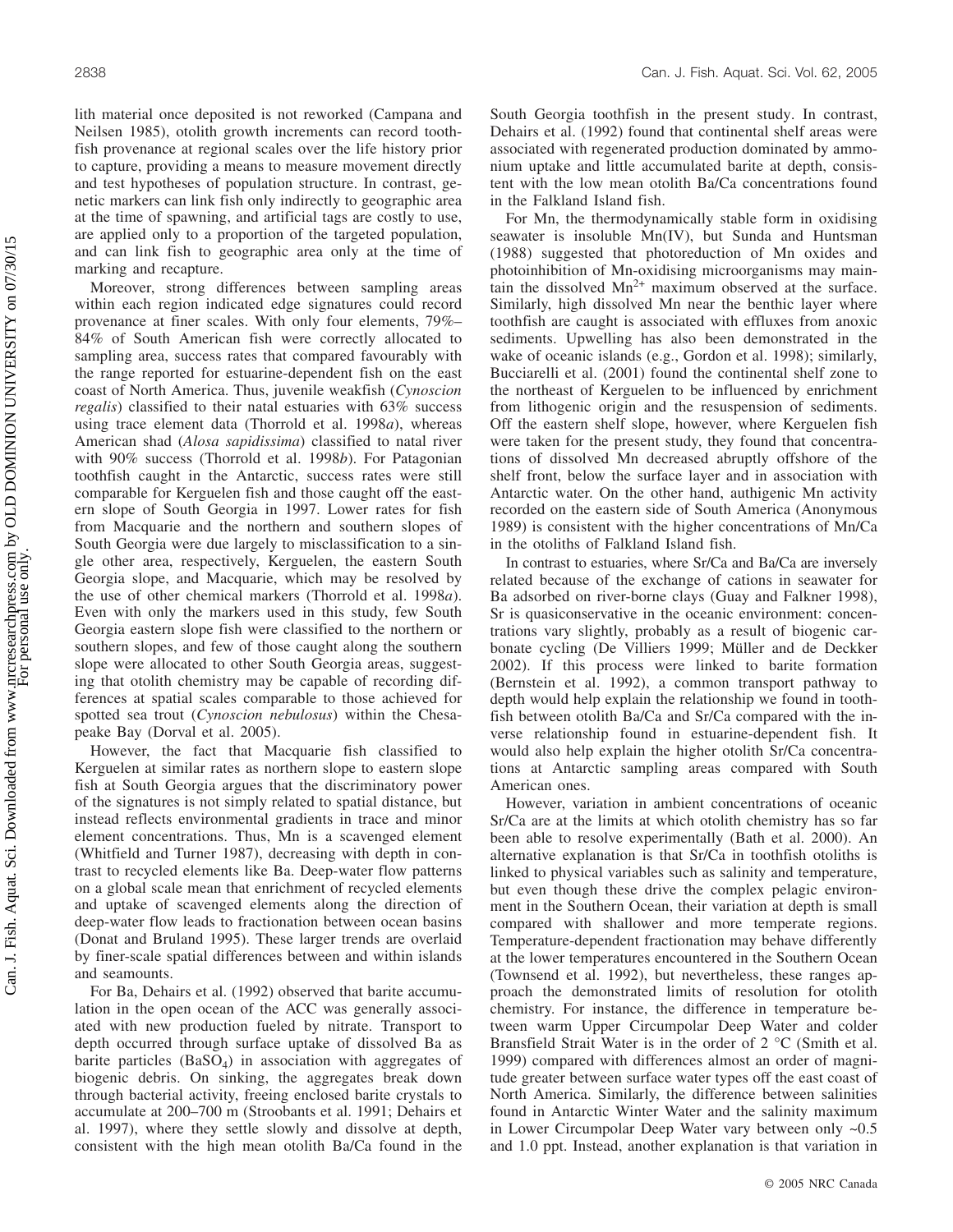lith material once deposited is not reworked (Campana and Neilsen 1985), otolith growth increments can record toothfish provenance at regional scales over the life history prior to capture, providing a means to measure movement directly and test hypotheses of population structure. In contrast, genetic markers can link fish only indirectly to geographic area at the time of spawning, and artificial tags are costly to use, are applied only to a proportion of the targeted population, and can link fish to geographic area only at the time of marking and recapture.

Moreover, strong differences between sampling areas within each region indicated edge signatures could record provenance at finer scales. With only four elements, 79%– 84% of South American fish were correctly allocated to sampling area, success rates that compared favourably with the range reported for estuarine-dependent fish on the east coast of North America. Thus, juvenile weakfish (*Cynoscion regalis*) classified to their natal estuaries with 63% success using trace element data (Thorrold et al. 1998*a*), whereas American shad (*Alosa sapidissima*) classified to natal river with 90% success (Thorrold et al. 1998*b*). For Patagonian toothfish caught in the Antarctic, success rates were still comparable for Kerguelen fish and those caught off the eastern slope of South Georgia in 1997. Lower rates for fish from Macquarie and the northern and southern slopes of South Georgia were due largely to misclassification to a single other area, respectively, Kerguelen, the eastern South Georgia slope, and Macquarie, which may be resolved by the use of other chemical markers (Thorrold et al. 1998*a*). Even with only the markers used in this study, few South Georgia eastern slope fish were classified to the northern or southern slopes, and few of those caught along the southern slope were allocated to other South Georgia areas, suggesting that otolith chemistry may be capable of recording differences at spatial scales comparable to those achieved for spotted sea trout (*Cynoscion nebulosus*) within the Chesapeake Bay (Dorval et al. 2005).

However, the fact that Macquarie fish classified to Kerguelen at similar rates as northern slope to eastern slope fish at South Georgia argues that the discriminatory power of the signatures is not simply related to spatial distance, but instead reflects environmental gradients in trace and minor element concentrations. Thus, Mn is a scavenged element (Whitfield and Turner 1987), decreasing with depth in contrast to recycled elements like Ba. Deep-water flow patterns on a global scale mean that enrichment of recycled elements and uptake of scavenged elements along the direction of deep-water flow leads to fractionation between ocean basins (Donat and Bruland 1995). These larger trends are overlaid by finer-scale spatial differences between and within islands and seamounts.

For Ba, Dehairs et al. (1992) observed that barite accumulation in the open ocean of the ACC was generally associated with new production fueled by nitrate. Transport to depth occurred through surface uptake of dissolved Ba as barite particles  $(BaSO<sub>4</sub>)$  in association with aggregates of biogenic debris. On sinking, the aggregates break down through bacterial activity, freeing enclosed barite crystals to accumulate at 200–700 m (Stroobants et al. 1991; Dehairs et al. 1997), where they settle slowly and dissolve at depth, consistent with the high mean otolith Ba/Ca found in the South Georgia toothfish in the present study. In contrast, Dehairs et al. (1992) found that continental shelf areas were associated with regenerated production dominated by ammonium uptake and little accumulated barite at depth, consistent with the low mean otolith Ba/Ca concentrations found in the Falkland Island fish.

For Mn, the thermodynamically stable form in oxidising seawater is insoluble Mn(IV), but Sunda and Huntsman (1988) suggested that photoreduction of Mn oxides and photoinhibition of Mn-oxidising microorganisms may maintain the dissolved  $Mn^{2+}$  maximum observed at the surface. Similarly, high dissolved Mn near the benthic layer where toothfish are caught is associated with effluxes from anoxic sediments. Upwelling has also been demonstrated in the wake of oceanic islands (e.g., Gordon et al. 1998); similarly, Bucciarelli et al. (2001) found the continental shelf zone to the northeast of Kerguelen to be influenced by enrichment from lithogenic origin and the resuspension of sediments. Off the eastern shelf slope, however, where Kerguelen fish were taken for the present study, they found that concentrations of dissolved Mn decreased abruptly offshore of the shelf front, below the surface layer and in association with Antarctic water. On the other hand, authigenic Mn activity recorded on the eastern side of South America (Anonymous 1989) is consistent with the higher concentrations of Mn/Ca in the otoliths of Falkland Island fish.

In contrast to estuaries, where Sr/Ca and Ba/Ca are inversely related because of the exchange of cations in seawater for Ba adsorbed on river-borne clays (Guay and Falkner 1998), Sr is quasiconservative in the oceanic environment: concentrations vary slightly, probably as a result of biogenic carbonate cycling (De Villiers 1999; Müller and de Deckker 2002). If this process were linked to barite formation (Bernstein et al. 1992), a common transport pathway to depth would help explain the relationship we found in toothfish between otolith Ba/Ca and Sr/Ca compared with the inverse relationship found in estuarine-dependent fish. It would also help explain the higher otolith Sr/Ca concentrations at Antarctic sampling areas compared with South American ones.

However, variation in ambient concentrations of oceanic Sr/Ca are at the limits at which otolith chemistry has so far been able to resolve experimentally (Bath et al. 2000). An alternative explanation is that Sr/Ca in toothfish otoliths is linked to physical variables such as salinity and temperature, but even though these drive the complex pelagic environment in the Southern Ocean, their variation at depth is small compared with shallower and more temperate regions. Temperature-dependent fractionation may behave differently at the lower temperatures encountered in the Southern Ocean (Townsend et al. 1992), but nevertheless, these ranges approach the demonstrated limits of resolution for otolith chemistry. For instance, the difference in temperature between warm Upper Circumpolar Deep Water and colder Bransfield Strait Water is in the order of 2 °C (Smith et al. 1999) compared with differences almost an order of magnitude greater between surface water types off the east coast of North America. Similarly, the difference between salinities found in Antarctic Winter Water and the salinity maximum in Lower Circumpolar Deep Water vary between only ~0.5 and 1.0 ppt. Instead, another explanation is that variation in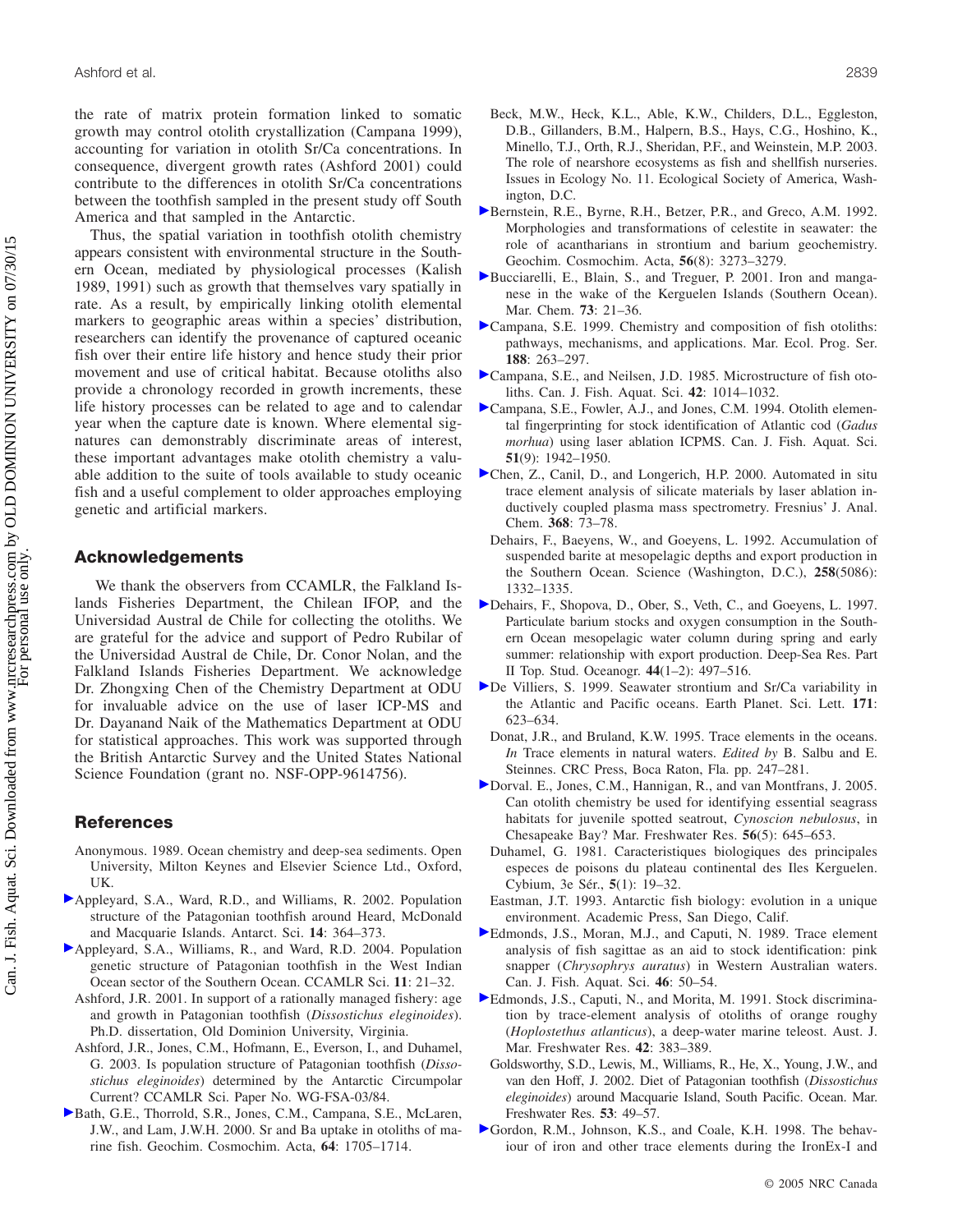the rate of matrix protein formation linked to somatic growth may control otolith crystallization (Campana 1999), accounting for variation in otolith Sr/Ca concentrations. In consequence, divergent growth rates (Ashford 2001) could contribute to the differences in otolith Sr/Ca concentrations between the toothfish sampled in the present study off South America and that sampled in the Antarctic.

Thus, the spatial variation in toothfish otolith chemistry appears consistent with environmental structure in the Southern Ocean, mediated by physiological processes (Kalish 1989, 1991) such as growth that themselves vary spatially in rate. As a result, by empirically linking otolith elemental markers to geographic areas within a species' distribution, researchers can identify the provenance of captured oceanic fish over their entire life history and hence study their prior movement and use of critical habitat. Because otoliths also provide a chronology recorded in growth increments, these life history processes can be related to age and to calendar year when the capture date is known. Where elemental signatures can demonstrably discriminate areas of interest, these important advantages make otolith chemistry a valuable addition to the suite of tools available to study oceanic fish and a useful complement to older approaches employing genetic and artificial markers.

#### **Acknowledgements**

We thank the observers from CCAMLR, the Falkland Islands Fisheries Department, the Chilean IFOP, and the Universidad Austral de Chile for collecting the otoliths. We are grateful for the advice and support of Pedro Rubilar of the Universidad Austral de Chile, Dr. Conor Nolan, and the Falkland Islands Fisheries Department. We acknowledge Dr. Zhongxing Chen of the Chemistry Department at ODU for invaluable advice on the use of laser ICP-MS and Dr. Dayanand Naik of the Mathematics Department at ODU for statistical approaches. This work was supported through the British Antarctic Survey and the United States National Science Foundation (grant no. NSF-OPP-9614756).

#### **References**

- Anonymous. 1989. Ocean chemistry and deep-sea sediments. Open University, Milton Keynes and Elsevier Science Ltd., Oxford, UK.
- [A](http://www.nrcresearchpress.com/action/showLinks?isi=000181258200009)ppleyard, S.A., Ward, R.D., and Williams, R. 2002. Population structure of the Patagonian toothfish around Heard, McDonald and Macquarie Islands. Antarct. Sci. **14**: 364–373.
- [A](http://www.nrcresearchpress.com/action/showLinks?isi=000225324900002)ppleyard, S.A., Williams, R., and Ward, R.D. 2004. Population genetic structure of Patagonian toothfish in the West Indian Ocean sector of the Southern Ocean. CCAMLR Sci. **11**: 21–32.
	- Ashford, J.R. 2001. In support of a rationally managed fishery: age and growth in Patagonian toothfish (*Dissostichus eleginoides*). Ph.D. dissertation, Old Dominion University, Virginia.
	- Ashford, J.R., Jones, C.M., Hofmann, E., Everson, I., and Duhamel, G. 2003. Is population structure of Patagonian toothfish (*Dissostichus eleginoides*) determined by the Antarctic Circumpolar Current? CCAMLR Sci. Paper No. WG-FSA-03/84.
- [B](http://www.nrcresearchpress.com/action/showLinks?crossref=10.1016%2FS0016-7037%2899%2900419-6&isi=000087004200005)ath, G.E., Thorrold, S.R., Jones, C.M., Campana, S.E., McLaren, J.W., and Lam, J.W.H. 2000. Sr and Ba uptake in otoliths of marine fish. Geochim. Cosmochim. Acta, **64**: 1705–1714.
- Beck, M.W., Heck, K.L., Able, K.W., Childers, D.L., Eggleston, D.B., Gillanders, B.M., Halpern, B.S., Hays, C.G., Hoshino, K., Minello, T.J., Orth, R.J., Sheridan, P.F., and Weinstein, M.P. 2003. The role of nearshore ecosystems as fish and shellfish nurseries. Issues in Ecology No. 11. Ecological Society of America, Washington, D.C.
- [B](http://www.nrcresearchpress.com/action/showLinks?isi=A1992JL90100023)ernstein, R.E., Byrne, R.H., Betzer, P.R., and Greco, A.M. 1992. Morphologies and transformations of celestite in seawater: the role of acantharians in strontium and barium geochemistry. Geochim. Cosmochim. Acta, **56**(8): 3273–3279.
- [B](http://www.nrcresearchpress.com/action/showLinks?isi=000166133300002)ucciarelli, E., Blain, S., and Treguer, P. 2001. Iron and manganese in the wake of the Kerguelen Islands (Southern Ocean). Mar. Chem. **73**: 21–36.
- [C](http://www.nrcresearchpress.com/action/showLinks?crossref=10.3354%2Fmeps188263&isi=000084085700025)ampana, S.E. 1999. Chemistry and composition of fish otoliths: pathways, mechanisms, and applications. Mar. Ecol. Prog. Ser. **188**: 263–297.
- [C](http://www.nrcresearchpress.com/action/showLinks?system=10.1139%2Ff85-127&isi=A1985AHW6700018)ampana, S.E., and Neilsen, J.D. 1985. Microstructure of fish otoliths. Can. J. Fish. Aquat. Sci. **42**: 1014–1032.
- [C](http://www.nrcresearchpress.com/action/showLinks?system=10.1139%2Ff94-196&isi=A1994QF32000005)ampana, S.E., Fowler, A.J., and Jones, C.M. 1994. Otolith elemental fingerprinting for stock identification of Atlantic cod (*Gadus morhua*) using laser ablation ICPMS. Can. J. Fish. Aquat. Sci. **51**(9): 1942–1950.
- [C](http://www.nrcresearchpress.com/action/showLinks?pmid=11220835&crossref=10.1007%2Fs002160000528)hen, Z., Canil, D., and Longerich, H.P. 2000. Automated in situ trace element analysis of silicate materials by laser ablation inductively coupled plasma mass spectrometry. Fresnius' J. Anal. Chem. **368**: 73–78.
- Dehairs, F., Baeyens, W., and Goeyens, L. 1992. Accumulation of suspended barite at mesopelagic depths and export production in the Southern Ocean. Science (Washington, D.C.), **258**(5086): 1332–1335.
- [D](http://www.nrcresearchpress.com/action/showLinks?crossref=10.1016%2FS0967-0645%2896%2900072-0&isi=A1997WM12500023)ehairs, F., Shopova, D., Ober, S., Veth, C., and Goeyens, L. 1997. Particulate barium stocks and oxygen consumption in the Southern Ocean mesopelagic water column during spring and early summer: relationship with export production. Deep-Sea Res. Part II Top. Stud. Oceanogr. **44**(1–2): 497–516.
- [D](http://www.nrcresearchpress.com/action/showLinks?crossref=10.1016%2FS0012-821X%2899%2900174-0&isi=000082680000008)e Villiers, S. 1999. Seawater strontium and Sr/Ca variability in the Atlantic and Pacific oceans. Earth Planet. Sci. Lett. **171**: 623–634.
- Donat, J.R., and Bruland, K.W. 1995. Trace elements in the oceans. *In* Trace elements in natural waters. *Edited by* B. Salbu and E. Steinnes. CRC Press, Boca Raton, Fla. pp. 247–281.
- [D](http://www.nrcresearchpress.com/action/showLinks?crossref=10.1071%2FMF04179&isi=000230679000017)orval. E., Jones, C.M., Hannigan, R., and van Montfrans, J. 2005. Can otolith chemistry be used for identifying essential seagrass habitats for juvenile spotted seatrout, *Cynoscion nebulosus*, in Chesapeake Bay? Mar. Freshwater Res. **56**(5): 645–653.
- Duhamel, G. 1981. Caracteristiques biologiques des principales especes de poisons du plateau continental des Iles Kerguelen. Cybium, 3e Sér., **5**(1): 19–32.
- Eastman, J.T. 1993. Antarctic fish biology: evolution in a unique environment. Academic Press, San Diego, Calif.
- [E](http://www.nrcresearchpress.com/action/showLinks?system=10.1139%2Ff89-007&isi=A1989R865800007)dmonds, J.S., Moran, M.J., and Caputi, N. 1989. Trace element analysis of fish sagittae as an aid to stock identification: pink snapper (*Chrysophrys auratus*) in Western Australian waters. Can. J. Fish. Aquat. Sci. **46**: 50–54.
- [E](http://www.nrcresearchpress.com/action/showLinks?crossref=10.1071%2FMF9910383)dmonds, J.S., Caputi, N., and Morita, M. 1991. Stock discrimination by trace-element analysis of otoliths of orange roughy (*Hoplostethus atlanticus*), a deep-water marine teleost. Aust. J. Mar. Freshwater Res. **42**: 383–389.
- Goldsworthy, S.D., Lewis, M., Williams, R., He, X., Young, J.W., and van den Hoff, J. 2002. Diet of Patagonian toothfish (*Dissostichus eleginoides*) around Macquarie Island, South Pacific. Ocean. Mar. Freshwater Res. **53**: 49–57.
- [G](http://www.nrcresearchpress.com/action/showLinks?isi=000076946500005)ordon, R.M., Johnson, K.S., and Coale, K.H. 1998. The behaviour of iron and other trace elements during the IronEx-I and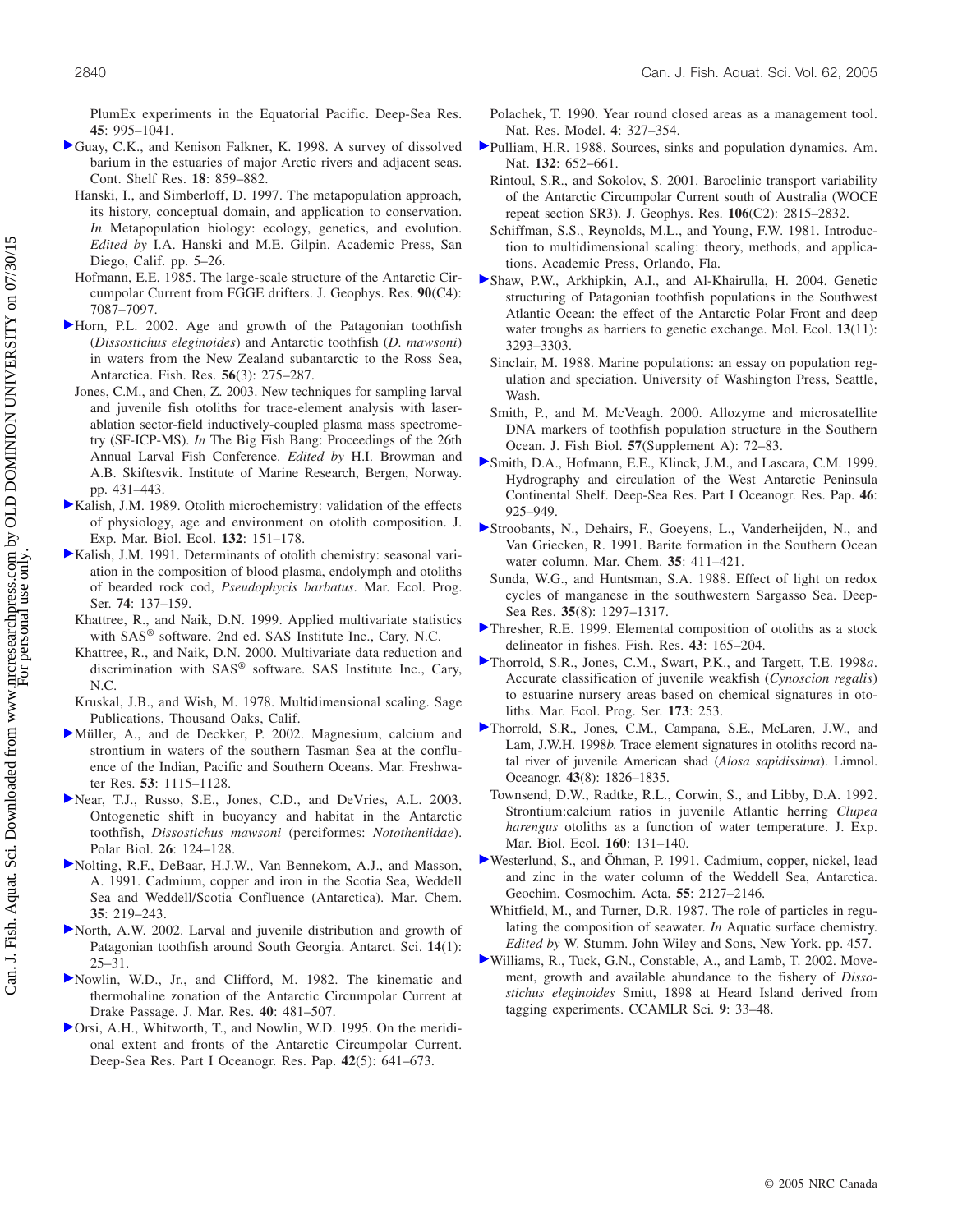<span id="page-10-0"></span>PlumEx experiments in the Equatorial Pacific. Deep-Sea Res. **45**: 995–1041.

- Guay, C.K., and Kenison Falkner, K. 1998. A survey of dissolved barium in the estuaries of major Arctic rivers and adjacent seas. Cont. Shelf Res. **18**: 859–882.
- Hanski, I., and Simberloff, D. 1997. The metapopulation approach, its history, conceptual domain, and application to conservation. *In* Metapopulation biology: ecology, genetics, and evolution. *Edited by* I.A. Hanski and M.E. Gilpin. Academic Press, San Diego, Calif. pp. 5–26.
- Hofmann, E.E. 1985. The large-scale structure of the Antarctic Circumpolar Current from FGGE drifters. J. Geophys. Res. **90**(C4): 7087–7097.
- Horn, P.L. 2002. Age and growth of the Patagonian toothfish (*Dissostichus eleginoides*) and Antarctic toothfish (*D. mawsoni*) in waters from the New Zealand subantarctic to the Ross Sea, Antarctica. Fish. Res. **56**(3): 275–287.
- Jones, C.M., and Chen, Z. 2003. New techniques for sampling larval and juvenile fish otoliths for trace-element analysis with laserablation sector-field inductively-coupled plasma mass spectrometry (SF-ICP-MS). *In* The Big Fish Bang: Proceedings of the 26th Annual Larval Fish Conference. *Edited by* H.I. Browman and A.B. Skiftesvik. Institute of Marine Research, Bergen, Norway. pp. 431–443.
- [K](http://www.nrcresearchpress.com/action/showLinks?crossref=10.1016%2F0022-0981%2889%2990126-3&isi=A1989CF75600001)alish, J.M. 1989. Otolith microchemistry: validation of the effects of physiology, age and environment on otolith composition. J. Exp. Mar. Biol. Ecol. **132**: 151–178.
- [K](http://www.nrcresearchpress.com/action/showLinks?crossref=10.3354%2Fmeps074137&isi=A1991GC13900004)alish, J.M. 1991. Determinants of otolith chemistry: seasonal variation in the composition of blood plasma, endolymph and otoliths of bearded rock cod, *Pseudophycis barbatus*. Mar. Ecol. Prog. Ser. **74**: 137–159.
- Khattree, R., and Naik, D.N. 1999. Applied multivariate statistics with SAS® software. 2nd ed. SAS Institute Inc., Cary, N.C.
- Khattree, R., and Naik, D.N. 2000. Multivariate data reduction and discrimination with SAS® software. SAS Institute Inc., Cary, N.C.
- Kruskal, J.B., and Wish, M. 1978. Multidimensional scaling. Sage Publications, Thousand Oaks, Calif.
- [M](http://www.nrcresearchpress.com/action/showLinks?isi=000180747900007)üller, A., and de Deckker, P. 2002. Magnesium, calcium and strontium in waters of the southern Tasman Sea at the confluence of the Indian, Pacific and Southern Oceans. Mar. Freshwater Res. **53**: 1115–1128.
- [N](http://www.nrcresearchpress.com/action/showLinks?isi=000181375500008)ear, T.J., Russo, S.E., Jones, C.D., and DeVries, A.L. 2003. Ontogenetic shift in buoyancy and habitat in the Antarctic toothfish, *Dissostichus mawsoni* (perciformes: *Nototheniidae*). Polar Biol. **26**: 124–128.
- [N](http://www.nrcresearchpress.com/action/showLinks?isi=A1991GZ58500017)olting, R.F., DeBaar, H.J.W., Van Bennekom, A.J., and Masson, A. 1991. Cadmium, copper and iron in the Scotia Sea, Weddell Sea and Weddell/Scotia Confluence (Antarctica). Mar. Chem. **35**: 219–243.
- [N](http://www.nrcresearchpress.com/action/showLinks?isi=000174627000005)orth, A.W. 2002. Larval and juvenile distribution and growth of Patagonian toothfish around South Georgia. Antarct. Sci. **14**(1): 25–31.
- [N](http://www.nrcresearchpress.com/action/showLinks?isi=000207519300028)owlin, W.D., Jr., and Clifford, M. 1982. The kinematic and thermohaline zonation of the Antarctic Circumpolar Current at Drake Passage. J. Mar. Res. **40**: 481–507.
- [O](http://www.nrcresearchpress.com/action/showLinks?crossref=10.1016%2F0967-0637%2895%2900021-W&isi=A1995RP13300003)rsi, A.H., Whitworth, T., and Nowlin, W.D. 1995. On the meridional extent and fronts of the Antarctic Circumpolar Current. Deep-Sea Res. Part I Oceanogr. Res. Pap. **42**(5): 641–673.
- Polachek, T. 1990. Year round closed areas as a management tool. Nat. Res. Model. **4**: 327–354.
- [P](http://www.nrcresearchpress.com/action/showLinks?crossref=10.1086%2F284880&isi=A1988R012000004)ulliam, H.R. 1988. Sources, sinks and population dynamics. Am. Nat. **132**: 652–661.
	- Rintoul, S.R., and Sokolov, S. 2001. Baroclinic transport variability of the Antarctic Circumpolar Current south of Australia (WOCE repeat section SR3). J. Geophys. Res. **106**(C2): 2815–2832.
	- Schiffman, S.S., Reynolds, M.L., and Young, F.W. 1981. Introduction to multidimensional scaling: theory, methods, and applications. Academic Press, Orlando, Fla.
- [S](http://www.nrcresearchpress.com/action/showLinks?pmid=15487990&crossref=10.1111%2Fj.1365-294X.2004.02327.x&isi=000224524000004)haw, P.W., Arkhipkin, A.I., and Al-Khairulla, H. 2004. Genetic structuring of Patagonian toothfish populations in the Southwest Atlantic Ocean: the effect of the Antarctic Polar Front and deep water troughs as barriers to genetic exchange. Mol. Ecol. **13**(11): 3293–3303.
- Sinclair, M. 1988. Marine populations: an essay on population regulation and speciation. University of Washington Press, Seattle, Wash.
- Smith, P., and M. McVeagh. 2000. Allozyme and microsatellite DNA markers of toothfish population structure in the Southern Ocean. J. Fish Biol. **57**(Supplement A): 72–83.
- [S](http://www.nrcresearchpress.com/action/showLinks?crossref=10.1016%2FS0967-0637%2898%2900103-4&isi=000080446600001)mith, D.A., Hofmann, E.E., Klinck, J.M., and Lascara, C.M. 1999. Hydrography and circulation of the West Antarctic Peninsula Continental Shelf. Deep-Sea Res. Part I Oceanogr. Res. Pap. **46**: 925–949.
- [S](http://www.nrcresearchpress.com/action/showLinks?crossref=10.1016%2FS0304-4203%2809%2990033-0&isi=A1991GZ58500031)troobants, N., Dehairs, F., Goeyens, L., Vanderheijden, N., and Van Griecken, R. 1991. Barite formation in the Southern Ocean water column. Mar. Chem. **35**: 411–421.
- Sunda, W.G., and Huntsman, S.A. 1988. Effect of light on redox cycles of manganese in the southwestern Sargasso Sea. Deep-Sea Res. **35**(8): 1297–1317.
- [T](http://www.nrcresearchpress.com/action/showLinks?crossref=10.1016%2FS0165-7836%2899%2900072-7&isi=000083505000011)hresher, R.E. 1999. Elemental composition of otoliths as a stock delineator in fishes. Fish. Res. **43**: 165–204.
- [T](http://www.nrcresearchpress.com/action/showLinks?crossref=10.3354%2Fmeps173253&isi=000077093600020)horrold, S.R., Jones, C.M., Swart, P.K., and Targett, T.E. 1998*a*. Accurate classification of juvenile weakfish (*Cynoscion regalis*) to estuarine nursery areas based on chemical signatures in otoliths. Mar. Ecol. Prog. Ser. **173**: 253.
- [T](http://www.nrcresearchpress.com/action/showLinks?isi=000077563500006)horrold, S.R., Jones, C.M., Campana, S.E., McLaren, J.W., and Lam, J.W.H. 1998*b*. Trace element signatures in otoliths record natal river of juvenile American shad (*Alosa sapidissima*). Limnol. Oceanogr. **43**(8): 1826–1835.
- Townsend, D.W., Radtke, R.L., Corwin, S., and Libby, D.A. 1992. Strontium:calcium ratios in juvenile Atlantic herring *Clupea harengus* otoliths as a function of water temperature. J. Exp. Mar. Biol. Ecol. **160**: 131–140.
- [W](http://www.nrcresearchpress.com/action/showLinks?isi=A1991GC43900003)esterlund, S., and Öhman, P. 1991. Cadmium, copper, nickel, lead and zinc in the water column of the Weddell Sea, Antarctica. Geochim. Cosmochim. Acta, **55**: 2127–2146.
- Whitfield, M., and Turner, D.R. 1987. The role of particles in regulating the composition of seawater. *In* Aquatic surface chemistry. *Edited by* W. Stumm. John Wiley and Sons, New York. pp. 457.
- [W](http://www.nrcresearchpress.com/action/showLinks?isi=000179438500004)illiams, R., Tuck, G.N., Constable, A., and Lamb, T. 2002. Movement, growth and available abundance to the fishery of *Dissostichus eleginoides* Smitt, 1898 at Heard Island derived from tagging experiments. CCAMLR Sci. **9**: 33–48.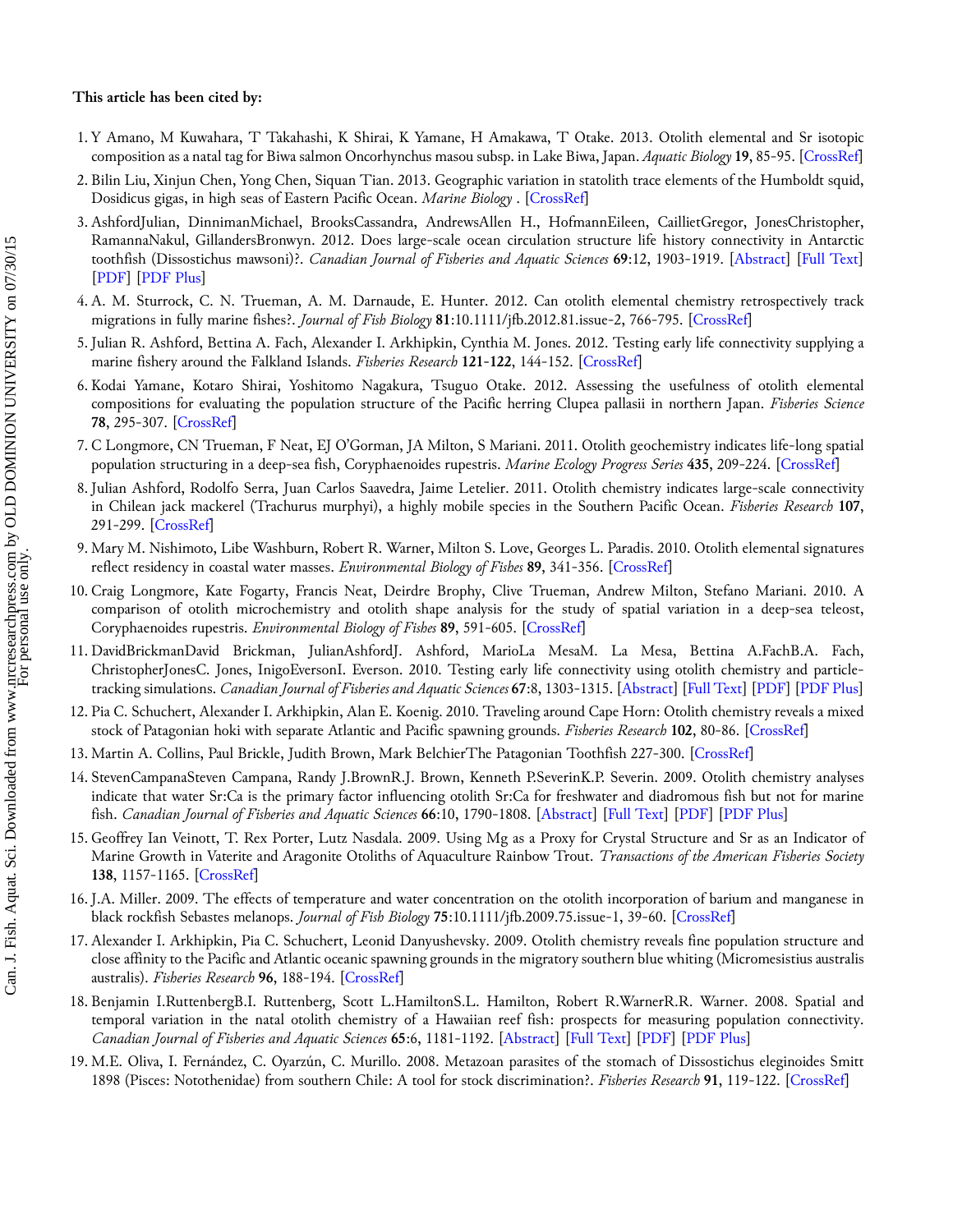#### **This article has been cited by:**

- 1. Y Amano, M Kuwahara, T Takahashi, K Shirai, K Yamane, H Amakawa, T Otake. 2013. Otolith elemental and Sr isotopic composition as a natal tag for Biwa salmon Oncorhynchus masou subsp. in Lake Biwa, Japan. *Aquatic Biology* **19**, 85-95. [[CrossRef\]](http://dx.doi.org/10.3354/ab00520)
- 2. Bilin Liu, Xinjun Chen, Yong Chen, Siquan Tian. 2013. Geographic variation in statolith trace elements of the Humboldt squid, Dosidicus gigas, in high seas of Eastern Pacific Ocean. *Marine Biology* . [[CrossRef\]](http://dx.doi.org/10.1007/s00227-013-2276-7)
- 3. AshfordJulian, DinnimanMichael, BrooksCassandra, AndrewsAllen H., HofmannEileen, CaillietGregor, JonesChristopher, RamannaNakul, GillandersBronwyn. 2012. Does large-scale ocean circulation structure life history connectivity in Antarctic toothfish (Dissostichus mawsoni)?. *Canadian Journal of Fisheries and Aquatic Sciences* **69**:12, 1903-1919. [[Abstract\]](http://dx.doi.org/10.1139/f2012-111) [\[Full Text\]](http://www.nrcresearchpress.com/doi/full/10.1139/f2012-111) [\[PDF](http://www.nrcresearchpress.com/doi/pdf/10.1139/f2012-111)] [[PDF Plus](http://www.nrcresearchpress.com/doi/pdfplus/10.1139/f2012-111)]
- 4. A. M. Sturrock, C. N. Trueman, A. M. Darnaude, E. Hunter. 2012. Can otolith elemental chemistry retrospectively track migrations in fully marine fishes?. *Journal of Fish Biology* **81**:10.1111/jfb.2012.81.issue-2, 766-795. [\[CrossRef](http://dx.doi.org/10.1111/j.1095-8649.2012.03372.x)]
- 5. Julian R. Ashford, Bettina A. Fach, Alexander I. Arkhipkin, Cynthia M. Jones. 2012. Testing early life connectivity supplying a marine fishery around the Falkland Islands. *Fisheries Research* **121-122**, 144-152. [[CrossRef\]](http://dx.doi.org/10.1016/j.fishres.2012.01.023)
- 6. Kodai Yamane, Kotaro Shirai, Yoshitomo Nagakura, Tsuguo Otake. 2012. Assessing the usefulness of otolith elemental compositions for evaluating the population structure of the Pacific herring Clupea pallasii in northern Japan. *Fisheries Science* **78**, 295-307. [\[CrossRef](http://dx.doi.org/10.1007/s12562-011-0466-0)]
- 7. C Longmore, CN Trueman, F Neat, EJ O'Gorman, JA Milton, S Mariani. 2011. Otolith geochemistry indicates life-long spatial population structuring in a deep-sea fish, Coryphaenoides rupestris. *Marine Ecology Progress Series* **435**, 209-224. [[CrossRef\]](http://dx.doi.org/10.3354/meps09197)
- 8. Julian Ashford, Rodolfo Serra, Juan Carlos Saavedra, Jaime Letelier. 2011. Otolith chemistry indicates large-scale connectivity in Chilean jack mackerel (Trachurus murphyi), a highly mobile species in the Southern Pacific Ocean. *Fisheries Research* **107**, 291-299. [\[CrossRef](http://dx.doi.org/10.1016/j.fishres.2010.11.012)]
- 9. Mary M. Nishimoto, Libe Washburn, Robert R. Warner, Milton S. Love, Georges L. Paradis. 2010. Otolith elemental signatures reflect residency in coastal water masses. *Environmental Biology of Fishes* **89**, 341-356. [\[CrossRef](http://dx.doi.org/10.1007/s10641-010-9698-6)]
- 10. Craig Longmore, Kate Fogarty, Francis Neat, Deirdre Brophy, Clive Trueman, Andrew Milton, Stefano Mariani. 2010. A comparison of otolith microchemistry and otolith shape analysis for the study of spatial variation in a deep-sea teleost, Coryphaenoides rupestris. *Environmental Biology of Fishes* **89**, 591-605. [\[CrossRef](http://dx.doi.org/10.1007/s10641-010-9674-1)]
- 11.DavidBrickmanDavid Brickman, JulianAshfordJ. Ashford, MarioLa MesaM. La Mesa, Bettina A.FachB.A. Fach, ChristopherJonesC. Jones, InigoEversonI. Everson. 2010. Testing early life connectivity using otolith chemistry and particletracking simulations. *Canadian Journal of Fisheries and Aquatic Sciences* **67**:8, 1303-1315. [[Abstract\]](http://dx.doi.org/10.1139/F10-065) [[Full Text](http://www.nrcresearchpress.com/doi/full/10.1139/F10-065)] [\[PDF\]](http://www.nrcresearchpress.com/doi/pdf/10.1139/F10-065) [\[PDF Plus\]](http://www.nrcresearchpress.com/doi/pdfplus/10.1139/F10-065)
- 12. Pia C. Schuchert, Alexander I. Arkhipkin, Alan E. Koenig. 2010. Traveling around Cape Horn: Otolith chemistry reveals a mixed stock of Patagonian hoki with separate Atlantic and Pacific spawning grounds. *Fisheries Research* **102**, 80-86. [[CrossRef\]](http://dx.doi.org/10.1016/j.fishres.2009.10.012)
- 13. Martin A. Collins, Paul Brickle, Judith Brown, Mark BelchierThe Patagonian Toothfish 227-300. [\[CrossRef](http://dx.doi.org/10.1016/B978-0-12-381015-1.00004-6)]
- 14. StevenCampanaSteven Campana, Randy J.BrownR.J. Brown, Kenneth P.SeverinK.P. Severin. 2009. Otolith chemistry analyses indicate that water Sr:Ca is the primary factor influencing otolith Sr:Ca for freshwater and diadromous fish but not for marine fish. *Canadian Journal of Fisheries and Aquatic Sciences* **66**:10, 1790-1808. [[Abstract\]](http://dx.doi.org/10.1139/F09-112) [[Full Text\]](http://www.nrcresearchpress.com/doi/full/10.1139/F09-112) [\[PDF](http://www.nrcresearchpress.com/doi/pdf/10.1139/F09-112)] [\[PDF Plus](http://www.nrcresearchpress.com/doi/pdfplus/10.1139/F09-112)]
- 15. Geoffrey Ian Veinott, T. Rex Porter, Lutz Nasdala. 2009. Using Mg as a Proxy for Crystal Structure and Sr as an Indicator of Marine Growth in Vaterite and Aragonite Otoliths of Aquaculture Rainbow Trout. *Transactions of the American Fisheries Society* **138**, 1157-1165. [\[CrossRef](http://dx.doi.org/10.1577/T08-184.1)]
- 16. J.A. Miller. 2009. The effects of temperature and water concentration on the otolith incorporation of barium and manganese in black rockfish Sebastes melanops. *Journal of Fish Biology* **75**:10.1111/jfb.2009.75.issue-1, 39-60. [[CrossRef\]](http://dx.doi.org/10.1111/j.1095-8649.2009.02262.x)
- 17. Alexander I. Arkhipkin, Pia C. Schuchert, Leonid Danyushevsky. 2009. Otolith chemistry reveals fine population structure and close affinity to the Pacific and Atlantic oceanic spawning grounds in the migratory southern blue whiting (Micromesistius australis australis). *Fisheries Research* **96**, 188-194. [[CrossRef\]](http://dx.doi.org/10.1016/j.fishres.2008.11.002)
- 18. Benjamin I.RuttenbergB.I. Ruttenberg, Scott L.HamiltonS.L. Hamilton, Robert R.WarnerR.R. Warner. 2008. Spatial and temporal variation in the natal otolith chemistry of a Hawaiian reef fish: prospects for measuring population connectivity. *Canadian Journal of Fisheries and Aquatic Sciences* **65**:6, 1181-1192. [[Abstract\]](http://dx.doi.org/10.1139/F08-052) [\[Full Text](http://www.nrcresearchpress.com/doi/full/10.1139/F08-052)] [\[PDF](http://www.nrcresearchpress.com/doi/pdf/10.1139/F08-052)] [\[PDF Plus](http://www.nrcresearchpress.com/doi/pdfplus/10.1139/F08-052)]
- 19. M.E. Oliva, I. Fernández, C. Oyarzún, C. Murillo. 2008. Metazoan parasites of the stomach of Dissostichus eleginoides Smitt 1898 (Pisces: Notothenidae) from southern Chile: A tool for stock discrimination?. *Fisheries Research* **91**, 119-122. [[CrossRef\]](http://dx.doi.org/10.1016/j.fishres.2007.11.012)